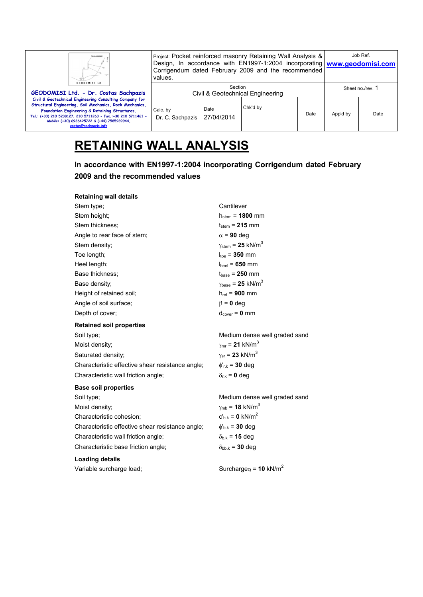| GEODOMISI Ltd.                                                                                                                                                                                                                                                                                                 | values.                                     |                    | Project: Pocket reinforced masonry Retaining Wall Analysis &<br>Design, In accordance with EN1997-1:2004 incorporating www.geodomisi.com<br>Corrigendum dated February 2009 and the recommended |      |                  | Job Ref. |
|----------------------------------------------------------------------------------------------------------------------------------------------------------------------------------------------------------------------------------------------------------------------------------------------------------------|---------------------------------------------|--------------------|-------------------------------------------------------------------------------------------------------------------------------------------------------------------------------------------------|------|------------------|----------|
| GEODOMISI Ltd. - Dr. Costas Sachpazis                                                                                                                                                                                                                                                                          | Section<br>Civil & Geotechnical Engineering |                    |                                                                                                                                                                                                 |      | Sheet no./rev. 1 |          |
| Civil & Geotechnical Engineering Consulting Company for<br>Structural Engineering, Soil Mechanics, Rock Mechanics,<br>Foundation Engineering & Retaining Structures.<br>Tel.: (+30) 210 5238127, 210 5711263 - Fax.:+30 210 5711461 -<br>Mobile: (+30) 6936425722 & (+44) 7585939944.<br>costas@sachpazis.info | Calc. by<br>Dr. C. Sachpazis                | Date<br>27/04/2014 | Chk'd by                                                                                                                                                                                        | Date | App'd by         | Date     |

# **RETAINING WALL ANALYSIS**

**In accordance with EN1997-1:2004 incorporating Corrigendum dated February 2009 and the recommended values** 

| <b>Retaining wall details</b>                    |                                               |
|--------------------------------------------------|-----------------------------------------------|
| Stem type;                                       | Cantilever                                    |
| Stem height;                                     | $h_{stem} = 1800$ mm                          |
| Stem thickness:                                  | $t_{\text{stem}}$ = 215 mm                    |
| Angle to rear face of stem;                      | $\alpha$ = 90 deg                             |
| Stem density:                                    | $\gamma_{\text{stem}}$ = 25 kN/m <sup>3</sup> |
| Toe length;                                      | $ _{\text{the}}$ = 350 mm                     |
| Heel length;                                     | $ _{\text{heat}}$ = 650 mm                    |
| Base thickness:                                  | $t_{base}$ = 250 mm                           |
| Base density:                                    | $\gamma_{\text{base}}$ = 25 kN/m <sup>3</sup> |
| Height of retained soil;                         | $h_{\text{ret}} = 900 \text{ mm}$             |
| Angle of soil surface:                           | $\beta = 0$ deg                               |
| Depth of cover;                                  | $d_{cover} = 0$ mm                            |
| <b>Retained soil properties</b>                  |                                               |
| Soil type;                                       | Medium dense well graded sand                 |
| Moist density;                                   | $\gamma_{\rm mr}$ = 21 kN/m <sup>3</sup>      |
| Saturated density;                               | $\gamma_{\rm sr}$ = 23 kN/m <sup>3</sup>      |
| Characteristic effective shear resistance angle; | $\phi'_{r.k}$ = 30 deg                        |
| Characteristic wall friction angle;              | $\delta_{r,k}$ = 0 deg                        |
| <b>Base soil properties</b>                      |                                               |
| Soil type;                                       | Medium dense well graded sand                 |
| Moist density;                                   | $\gamma_{\rm mb}$ = 18 kN/m <sup>3</sup>      |
| Characteristic cohesion;                         | $c'_{b,k} = 0$ kN/m <sup>2</sup>              |
| Characteristic effective shear resistance angle; | $\phi_{h,k}$ = 30 deg                         |
| Characteristic wall friction angle;              | $\delta_{b,k}$ = 15 deg                       |
| Characteristic base friction angle;              | $\delta_{\text{bb,k}}$ = 30 deg               |
| <b>Loading details</b>                           |                                               |
| Variable surcharge load;                         | Surcharge <sub>Q</sub> = 10 kN/m <sup>2</sup> |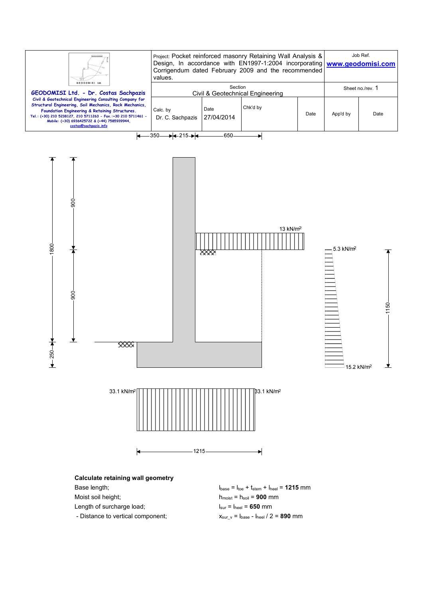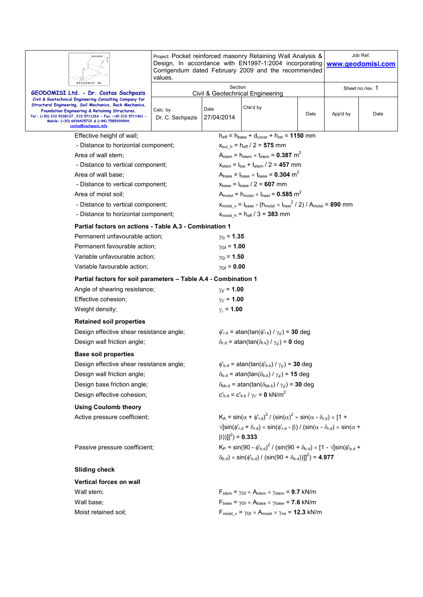|                                                                                                                                                                                                                                                                                                                | Project: Pocket reinforced masonry Retaining Wall Analysis &<br>Design, In accordance with EN1997-1:2004 incorporating<br>Corrigendum dated February 2009 and the recommended<br>values. | Job Ref.<br>www.geodomisi.com                                                                                                                         |                                                                                                                                        |                  |          |      |  |  |
|----------------------------------------------------------------------------------------------------------------------------------------------------------------------------------------------------------------------------------------------------------------------------------------------------------------|------------------------------------------------------------------------------------------------------------------------------------------------------------------------------------------|-------------------------------------------------------------------------------------------------------------------------------------------------------|----------------------------------------------------------------------------------------------------------------------------------------|------------------|----------|------|--|--|
| GEODOMISI Ltd. - Dr. Costas Sachpazis                                                                                                                                                                                                                                                                          | GEODOMISI Ltd<br>Section<br>Civil & Geotechnical Engineering                                                                                                                             |                                                                                                                                                       |                                                                                                                                        | Sheet no./rev. 1 |          |      |  |  |
| Civil & Geotechnical Engineering Consulting Company for<br>Structural Engineering, Soil Mechanics, Rock Mechanics,<br>Foundation Engineering & Retaining Structures.<br>Tel.: (+30) 210 5238127, 210 5711263 - Fax.:+30 210 5711461 -<br>Mobile: (+30) 6936425722 & (+44) 7585939944,<br>costas@sachpazis.info | Calc. by<br>Dr. C. Sachpazis                                                                                                                                                             | Date<br>27/04/2014                                                                                                                                    | Chk'd by                                                                                                                               | Date             | App'd by | Date |  |  |
| Effective height of wall;                                                                                                                                                                                                                                                                                      |                                                                                                                                                                                          |                                                                                                                                                       | $h_{\text{eff}} = h_{\text{base}} + d_{\text{cover}} + h_{\text{ret}} = 1150 \text{ mm}$                                               |                  |          |      |  |  |
| - Distance to horizontal component;                                                                                                                                                                                                                                                                            |                                                                                                                                                                                          |                                                                                                                                                       | $x_{\text{sur } h} = h_{\text{eff}} / 2 = 575$ mm                                                                                      |                  |          |      |  |  |
| Area of wall stem;                                                                                                                                                                                                                                                                                             |                                                                                                                                                                                          |                                                                                                                                                       | $A_{\text{stem}} = h_{\text{stem}} \times t_{\text{stem}} = 0.387 \text{ m}^2$                                                         |                  |          |      |  |  |
| - Distance to vertical component;                                                                                                                                                                                                                                                                              |                                                                                                                                                                                          |                                                                                                                                                       | $x_{\text{stem}} = I_{\text{toe}} + t_{\text{stem}} / 2 = 457$ mm                                                                      |                  |          |      |  |  |
| Area of wall base;                                                                                                                                                                                                                                                                                             |                                                                                                                                                                                          |                                                                                                                                                       | $A_{base} = I_{base} \times t_{base} = 0.304$ m <sup>2</sup>                                                                           |                  |          |      |  |  |
| - Distance to vertical component;                                                                                                                                                                                                                                                                              |                                                                                                                                                                                          |                                                                                                                                                       | $x_{base} = I_{base} / 2 = 607$ mm                                                                                                     |                  |          |      |  |  |
| Area of moist soil;                                                                                                                                                                                                                                                                                            |                                                                                                                                                                                          |                                                                                                                                                       | $A_{\text{moist}} = h_{\text{moist}} \times I_{\text{heel}} = 0.585 \text{ m}^2$                                                       |                  |          |      |  |  |
| - Distance to vertical component;                                                                                                                                                                                                                                                                              |                                                                                                                                                                                          |                                                                                                                                                       | $x_{\text{moist v}} = I_{\text{base}} - (h_{\text{moist}} \times I_{\text{heel}}^2 / 2) / A_{\text{moist}} = 890$ mm                   |                  |          |      |  |  |
| - Distance to horizontal component;                                                                                                                                                                                                                                                                            |                                                                                                                                                                                          |                                                                                                                                                       | $x_{\text{moist h}} = h_{\text{eff}} / 3 = 383 \text{ mm}$                                                                             |                  |          |      |  |  |
| Partial factors on actions - Table A.3 - Combination 1                                                                                                                                                                                                                                                         |                                                                                                                                                                                          |                                                                                                                                                       |                                                                                                                                        |                  |          |      |  |  |
| Permanent unfavourable action;                                                                                                                                                                                                                                                                                 |                                                                                                                                                                                          | $y_G = 1.35$                                                                                                                                          |                                                                                                                                        |                  |          |      |  |  |
| Permanent favourable action;                                                                                                                                                                                                                                                                                   |                                                                                                                                                                                          | $y_{Gf} = 1.00$                                                                                                                                       |                                                                                                                                        |                  |          |      |  |  |
| Variable unfavourable action;                                                                                                                                                                                                                                                                                  |                                                                                                                                                                                          | $\gamma_{\rm O}$ = 1.50                                                                                                                               |                                                                                                                                        |                  |          |      |  |  |
| Variable favourable action;                                                                                                                                                                                                                                                                                    |                                                                                                                                                                                          | $\gamma_{Qf} = 0.00$                                                                                                                                  |                                                                                                                                        |                  |          |      |  |  |
| Partial factors for soil parameters - Table A.4 - Combination 1                                                                                                                                                                                                                                                |                                                                                                                                                                                          |                                                                                                                                                       |                                                                                                                                        |                  |          |      |  |  |
| Angle of shearing resistance;                                                                                                                                                                                                                                                                                  |                                                                                                                                                                                          | $\gamma_{\phi} = 1.00$                                                                                                                                |                                                                                                                                        |                  |          |      |  |  |
| Effective cohesion;                                                                                                                                                                                                                                                                                            |                                                                                                                                                                                          | $\gamma_{c'} = 1.00$                                                                                                                                  |                                                                                                                                        |                  |          |      |  |  |
| Weight density;                                                                                                                                                                                                                                                                                                |                                                                                                                                                                                          |                                                                                                                                                       | $\gamma_{\gamma}$ = 1.00                                                                                                               |                  |          |      |  |  |
| <b>Retained soil properties</b>                                                                                                                                                                                                                                                                                |                                                                                                                                                                                          |                                                                                                                                                       |                                                                                                                                        |                  |          |      |  |  |
| Design effective shear resistance angle;                                                                                                                                                                                                                                                                       |                                                                                                                                                                                          |                                                                                                                                                       | $\phi'_{r.d}$ = atan(tan( $\phi'_{r.k}$ ) / $\gamma_{\phi'}$ ) = 30 deg                                                                |                  |          |      |  |  |
| Design wall friction angle;                                                                                                                                                                                                                                                                                    |                                                                                                                                                                                          |                                                                                                                                                       | $\delta_{r.d}$ = atan(tan( $\delta_{r.k}$ ) / $\gamma_{\phi}$ ) = 0 deg                                                                |                  |          |      |  |  |
|                                                                                                                                                                                                                                                                                                                |                                                                                                                                                                                          |                                                                                                                                                       |                                                                                                                                        |                  |          |      |  |  |
| <b>Base soil properties</b><br>Design effective shear resistance angle;                                                                                                                                                                                                                                        |                                                                                                                                                                                          |                                                                                                                                                       |                                                                                                                                        |                  |          |      |  |  |
| Design wall friction angle;                                                                                                                                                                                                                                                                                    |                                                                                                                                                                                          | $\phi_{\rm b.d}$ = atan(tan( $\phi_{\rm b.k}$ ) / $\gamma_{\phi}$ ) = 30 deg                                                                          |                                                                                                                                        |                  |          |      |  |  |
|                                                                                                                                                                                                                                                                                                                |                                                                                                                                                                                          | $\delta_{b.d}$ = atan(tan( $\delta_{b.k}$ ) / $\gamma_{\phi}$ ) = 15 deg                                                                              |                                                                                                                                        |                  |          |      |  |  |
| Design base friction angle;<br>Design effective cohesion;                                                                                                                                                                                                                                                      |                                                                                                                                                                                          | $\delta_{\text{bb.d}}$ = atan(tan( $\delta_{\text{bb.k}}$ ) / $\gamma_{\phi}$ ) = 30 deg<br>$c'_{b,d} = c'_{b,k} / \gamma_{c'} = 0$ kN/m <sup>2</sup> |                                                                                                                                        |                  |          |      |  |  |
|                                                                                                                                                                                                                                                                                                                |                                                                                                                                                                                          |                                                                                                                                                       |                                                                                                                                        |                  |          |      |  |  |
| <b>Using Coulomb theory</b>                                                                                                                                                                                                                                                                                    |                                                                                                                                                                                          |                                                                                                                                                       |                                                                                                                                        |                  |          |      |  |  |
| Active pressure coefficient;                                                                                                                                                                                                                                                                                   |                                                                                                                                                                                          |                                                                                                                                                       | $K_A = \sin(\alpha + \phi'_{rd})^2 / (\sin(\alpha)^2 \times \sin(\alpha - \delta_{rd}) \times [1 +$                                    |                  |          |      |  |  |
|                                                                                                                                                                                                                                                                                                                |                                                                                                                                                                                          | $(\beta))]$ ] <sup>2</sup> ) = <b>0.333</b>                                                                                                           | $\sqrt{\sin(\phi'_{r,d} + \delta_{r,d})} \times \sin(\phi'_{r,d} - \beta) / (\sin(\alpha - \delta_{r,d}) \times \sin(\alpha + \beta))$ |                  |          |      |  |  |
| Passive pressure coefficient;                                                                                                                                                                                                                                                                                  |                                                                                                                                                                                          |                                                                                                                                                       | $K_P = \sin(90 - \phi_{b,d})^2 / (\sin(90 + \delta_{b,d}) \times [1 - \sqrt{[\sin(\phi_{b,d} +$                                        |                  |          |      |  |  |
|                                                                                                                                                                                                                                                                                                                |                                                                                                                                                                                          |                                                                                                                                                       | $(\delta_{b,d}) \times \sin(\phi_{b,d}) / (\sin(90 + \delta_{b,d}))$ ]] <sup>2</sup> ) = 4.977                                         |                  |          |      |  |  |
| <b>Sliding check</b>                                                                                                                                                                                                                                                                                           |                                                                                                                                                                                          |                                                                                                                                                       |                                                                                                                                        |                  |          |      |  |  |
| Vertical forces on wall                                                                                                                                                                                                                                                                                        |                                                                                                                                                                                          |                                                                                                                                                       |                                                                                                                                        |                  |          |      |  |  |
| Wall stem;                                                                                                                                                                                                                                                                                                     |                                                                                                                                                                                          |                                                                                                                                                       | $F_{stem} = \gamma_{GF} \times A_{stem} \times \gamma_{stem} = 9.7$ kN/m                                                               |                  |          |      |  |  |
| Wall base;                                                                                                                                                                                                                                                                                                     |                                                                                                                                                                                          |                                                                                                                                                       | $F_{\text{base}} = \gamma_{\text{Gf}} \times A_{\text{base}} \times \gamma_{\text{base}} = 7.6 \text{ kN/m}$                           |                  |          |      |  |  |
| Moist retained soil;                                                                                                                                                                                                                                                                                           |                                                                                                                                                                                          |                                                                                                                                                       | $F_{\text{moist v}} = \gamma_{\text{Gf}} \times A_{\text{moist}} \times \gamma_{\text{mr}} = 12.3 \text{ kN/m}$                        |                  |          |      |  |  |
|                                                                                                                                                                                                                                                                                                                |                                                                                                                                                                                          |                                                                                                                                                       |                                                                                                                                        |                  |          |      |  |  |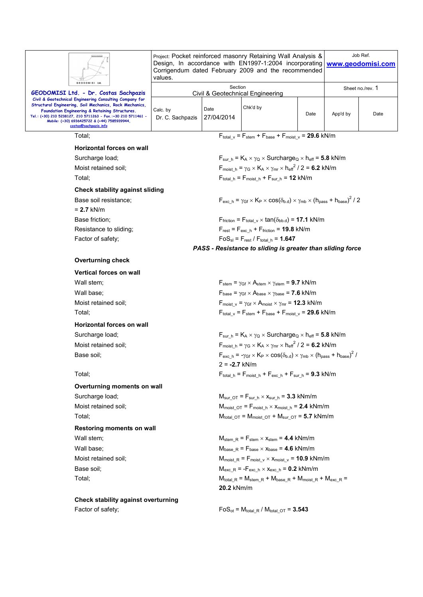| <b>GEODOMISI Ltd</b>                                                                                                                                                                                                                                                                                           | Project: Pocket reinforced masonry Retaining Wall Analysis &<br>Design, In accordance with EN1997-1:2004 incorporating<br>Corrigendum dated February 2009 and the recommended<br>values. |                                             |                                                                                                                                                                         |      | Job Ref.<br>www.geodomisi.com |      |  |
|----------------------------------------------------------------------------------------------------------------------------------------------------------------------------------------------------------------------------------------------------------------------------------------------------------------|------------------------------------------------------------------------------------------------------------------------------------------------------------------------------------------|---------------------------------------------|-------------------------------------------------------------------------------------------------------------------------------------------------------------------------|------|-------------------------------|------|--|
| GEODOMISI Ltd. - Dr. Costas Sachpazis                                                                                                                                                                                                                                                                          |                                                                                                                                                                                          | Section                                     | <b>Civil &amp; Geotechnical Engineering</b>                                                                                                                             |      | Sheet no./rev. 1              |      |  |
| Civil & Geotechnical Engineering Consulting Company for<br>Structural Engineering, Soil Mechanics, Rock Mechanics,<br>Foundation Engineering & Retaining Structures.<br>Tel.: (+30) 210 5238127, 210 5711263 - Fax.:+30 210 5711461 -<br>Mobile: (+30) 6936425722 & (+44) 7585939944,<br>costas@sachpazis.info | Calc. by<br>Dr. C. Sachpazis                                                                                                                                                             | Date<br>27/04/2014                          | Chk'd by                                                                                                                                                                | Date | App'd by                      | Date |  |
| Total:                                                                                                                                                                                                                                                                                                         |                                                                                                                                                                                          |                                             | $F_{\text{total }v} = F_{\text{stem}} + F_{\text{base}} + F_{\text{moist }v} = 29.6 \text{ kN/m}$                                                                       |      |                               |      |  |
| <b>Horizontal forces on wall</b>                                                                                                                                                                                                                                                                               |                                                                                                                                                                                          |                                             |                                                                                                                                                                         |      |                               |      |  |
| Surcharge load;                                                                                                                                                                                                                                                                                                |                                                                                                                                                                                          |                                             | $F_{\text{sur h}} = K_A \times \gamma_Q \times \text{Surcharge}_Q \times h_{\text{eff}} = 5.8 \text{ kN/m}$                                                             |      |                               |      |  |
| Moist retained soil;                                                                                                                                                                                                                                                                                           |                                                                                                                                                                                          |                                             | $F_{\text{moist h}} = \gamma_G \times K_A \times \gamma_{\text{mr}} \times {h_{\text{eff}}}^2 / 2 = 6.2 \text{ kN/m}$                                                   |      |                               |      |  |
| Total:                                                                                                                                                                                                                                                                                                         |                                                                                                                                                                                          |                                             | $F_{\text{total}\_h} = F_{\text{moist}\_h} + F_{\text{sur}\_h} = 12 \text{ kN/m}$                                                                                       |      |                               |      |  |
| <b>Check stability against sliding</b>                                                                                                                                                                                                                                                                         |                                                                                                                                                                                          |                                             |                                                                                                                                                                         |      |                               |      |  |
| Base soil resistance;<br>$= 2.7$ kN/m                                                                                                                                                                                                                                                                          |                                                                                                                                                                                          |                                             | $F_{\text{exc h}} = \gamma_{\text{Gf}} \times K_{\text{P}} \times \cos(\delta_{\text{b.d}}) \times \gamma_{\text{mb}} \times (h_{\text{pass}} + h_{\text{base}})^2 / 2$ |      |                               |      |  |
| Base friction;                                                                                                                                                                                                                                                                                                 |                                                                                                                                                                                          |                                             | $F_{\text{friction}} = F_{\text{total v}} \times \tan(\delta_{\text{bb.d}}) = 17.1 \text{ kN/m}$                                                                        |      |                               |      |  |
| Resistance to sliding;                                                                                                                                                                                                                                                                                         |                                                                                                                                                                                          |                                             | $F_{rest} = F_{exc h} + F_{friction} = 19.8$ kN/m                                                                                                                       |      |                               |      |  |
| Factor of safety;                                                                                                                                                                                                                                                                                              |                                                                                                                                                                                          | $FoS_{sl} = F_{rest} / F_{total h} = 1.647$ |                                                                                                                                                                         |      |                               |      |  |
|                                                                                                                                                                                                                                                                                                                |                                                                                                                                                                                          |                                             | PASS - Resistance to sliding is greater than sliding force                                                                                                              |      |                               |      |  |
| <b>Overturning check</b>                                                                                                                                                                                                                                                                                       |                                                                                                                                                                                          |                                             |                                                                                                                                                                         |      |                               |      |  |
| <b>Vertical forces on wall</b>                                                                                                                                                                                                                                                                                 |                                                                                                                                                                                          |                                             |                                                                                                                                                                         |      |                               |      |  |
| Wall stem;                                                                                                                                                                                                                                                                                                     |                                                                                                                                                                                          |                                             | $F_{stem}$ = $\gamma_{GF} \times A_{stem} \times \gamma_{stem}$ = 9.7 kN/m                                                                                              |      |                               |      |  |
| Wall base:                                                                                                                                                                                                                                                                                                     | $F_{\text{base}} = \gamma_{\text{Gf}} \times A_{\text{base}} \times \gamma_{\text{base}} = 7.6 \text{ kN/m}$                                                                             |                                             |                                                                                                                                                                         |      |                               |      |  |
| Moist retained soil:                                                                                                                                                                                                                                                                                           |                                                                                                                                                                                          |                                             | $F_{\text{moist v}} = \gamma_{\text{Gf}} \times A_{\text{moist}} \times \gamma_{\text{mr}} = 12.3 \text{ kN/m}$                                                         |      |                               |      |  |
| Total:                                                                                                                                                                                                                                                                                                         |                                                                                                                                                                                          |                                             | $F_{\text{total }v} = F_{\text{stem}} + F_{\text{base}} + F_{\text{moist }v} = 29.6 \text{ kN/m}$                                                                       |      |                               |      |  |
| <b>Horizontal forces on wall</b>                                                                                                                                                                                                                                                                               |                                                                                                                                                                                          |                                             |                                                                                                                                                                         |      |                               |      |  |
| Surcharge load;                                                                                                                                                                                                                                                                                                |                                                                                                                                                                                          |                                             | $F_{\text{sur h}} = K_A \times \gamma_Q \times \text{Surcharge}_Q \times h_{\text{eff}} = 5.8 \text{ kN/m}$                                                             |      |                               |      |  |
| Moist retained soil:                                                                                                                                                                                                                                                                                           |                                                                                                                                                                                          |                                             | $F_{\text{moist h}} = \gamma_G \times K_A \times \gamma_{\text{mr}} \times {h_{\text{eff}}}^2 / 2 = 6.2 \text{ kN/m}$                                                   |      |                               |      |  |
| Base soil;                                                                                                                                                                                                                                                                                                     |                                                                                                                                                                                          | $2 = -2.7$ kN/m                             | $F_{\text{exc h}} = -\gamma_{\text{Gf}} \times K_{\text{P}} \times \cos(\delta_{\text{b.d}}) \times \gamma_{\text{mb}} \times (h_{\text{pass}} + h_{\text{base}})^2$ /  |      |                               |      |  |
| Total;                                                                                                                                                                                                                                                                                                         |                                                                                                                                                                                          |                                             | $F_{\text{total}\_h}$ = $F_{\text{moist}\_h}$ + $F_{\text{exc}\_h}$ + $F_{\text{sur}\_h}$ = 9.3 kN/m                                                                    |      |                               |      |  |
| Overturning moments on wall                                                                                                                                                                                                                                                                                    |                                                                                                                                                                                          |                                             |                                                                                                                                                                         |      |                               |      |  |
| Surcharge load;                                                                                                                                                                                                                                                                                                |                                                                                                                                                                                          |                                             | $M_{sur\_OT}$ = $F_{sur\_h}$ $\times$ $x_{sur\_h}$ = 3.3 kNm/m                                                                                                          |      |                               |      |  |
| Moist retained soil:                                                                                                                                                                                                                                                                                           |                                                                                                                                                                                          |                                             | $M_{\text{moist OT}} = F_{\text{moist h}} \times x_{\text{moist h}} = 2.4 \text{ kNm/m}$                                                                                |      |                               |      |  |
| Total;                                                                                                                                                                                                                                                                                                         |                                                                                                                                                                                          |                                             | $M_{total\_OT}$ = $M_{moist\_OT}$ + $M_{sur\_OT}$ = 5.7 kNm/m                                                                                                           |      |                               |      |  |
| Restoring moments on wall                                                                                                                                                                                                                                                                                      |                                                                                                                                                                                          |                                             |                                                                                                                                                                         |      |                               |      |  |
| Wall stem;                                                                                                                                                                                                                                                                                                     |                                                                                                                                                                                          |                                             | $M_{stem R} = F_{stem} \times x_{stem} = 4.4$ kNm/m                                                                                                                     |      |                               |      |  |
| Wall base;                                                                                                                                                                                                                                                                                                     |                                                                                                                                                                                          |                                             | $M_{base}$ $_R$ = $F_{base}$ $\times$ $x_{base}$ = 4.6 kNm/m                                                                                                            |      |                               |      |  |
| Moist retained soil;                                                                                                                                                                                                                                                                                           |                                                                                                                                                                                          |                                             | $M_{\text{moist\_R}} = F_{\text{moist\_v}} \times x_{\text{moist\_v}} = 10.9 \text{ kNm/m}$                                                                             |      |                               |      |  |
| Base soil;                                                                                                                                                                                                                                                                                                     |                                                                                                                                                                                          |                                             | $M_{\text{exc\_R}} = -F_{\text{exc\_h}} \times x_{\text{exc\_h}} = 0.2 \text{ kNm/m}$                                                                                   |      |                               |      |  |
| Total;                                                                                                                                                                                                                                                                                                         |                                                                                                                                                                                          | 20.2 kNm/m                                  | $M_{\text{total}\_\text{R}} = M_{\text{stem}\_\text{R}} + M_{\text{base}\_\text{R}} + M_{\text{moist}\_\text{R}} + M_{\text{exc}\_\text{R}} =$                          |      |                               |      |  |
| <b>Check stability against overturning</b>                                                                                                                                                                                                                                                                     |                                                                                                                                                                                          |                                             |                                                                                                                                                                         |      |                               |      |  |
| Factor of safety;                                                                                                                                                                                                                                                                                              |                                                                                                                                                                                          |                                             | $FoS_{ot} = M_{total, R} / M_{total, OT} = 3.543$                                                                                                                       |      |                               |      |  |
|                                                                                                                                                                                                                                                                                                                |                                                                                                                                                                                          |                                             |                                                                                                                                                                         |      |                               |      |  |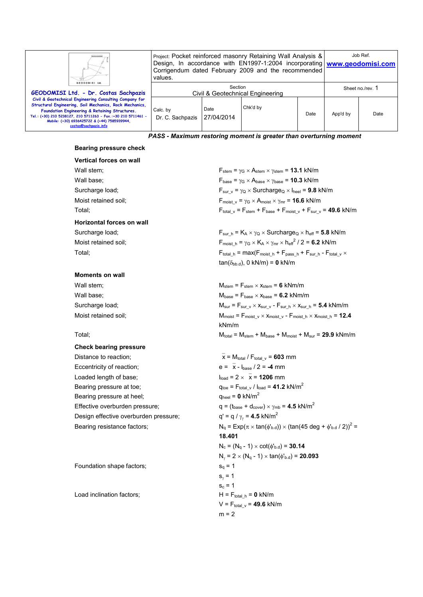| GEODOMISI Ltd.                                                                                                                                                                                                                                                                                                 | Project: Pocket reinforced masonry Retaining Wall Analysis &<br>Design, In accordance with EN1997-1:2004 incorporating www.geodomisi.com<br>Corrigendum dated February 2009 and the recommended<br>values. |                    |          |      | Job Ref.         |      |
|----------------------------------------------------------------------------------------------------------------------------------------------------------------------------------------------------------------------------------------------------------------------------------------------------------------|------------------------------------------------------------------------------------------------------------------------------------------------------------------------------------------------------------|--------------------|----------|------|------------------|------|
| GEODOMISI Ltd. - Dr. Costas Sachpazis                                                                                                                                                                                                                                                                          | Section<br>Civil & Geotechnical Engineering                                                                                                                                                                |                    |          |      | Sheet no./rev. 1 |      |
| Civil & Geotechnical Engineering Consulting Company for<br>Structural Engineering, Soil Mechanics, Rock Mechanics,<br>Foundation Engineering & Retaining Structures.<br>Tel.: (+30) 210 5238127, 210 5711263 - Fax.:+30 210 5711461 -<br>Mobile: (+30) 6936425722 & (+44) 7585939944.<br>costas@sachpazis.info | Calc. by<br>Dr. C. Sachpazis                                                                                                                                                                               | Date<br>27/04/2014 | Chk'd by | Date | App'd by         | Date |

*PASS - Maximum restoring moment is greater than overturning moment* 

### **Bearing pressure check**

## **Vertical forces on wall**

**Horizontal forces on wall** 

### **Moments on wall**

# **Check bearing pressure**  Distance to reaction;  $\overline{x} = M_{total}/F_{total} = 603$  mm Eccentricity of reaction;  $e = \overline{x} - I_{base} / 2 = -4$  mm Loaded length of base;  $l_{load} = 2 \times \overline{x} = 1206$  mm Bearing pressure at toe;  $q_{\text{toe}} = F_{\text{total_v}} / I_{\text{load}} = 41.2 \text{ kN/m}^2$ Bearing pressure at heel;  $q_{\text{heel}} = 0 \text{ kN/m}^2$ Effective overburden pressure;  $q = (t_{base} + d_{cover}) \times \gamma_{mb} = 4.5 \text{ kN/m}^2$ Design effective overburden pressure;

Foundation shape factors;  $s_q = 1$ 

Load inclination factors;  $H = F_{total/h} = 0$  kN/m

Wall stem;  $\mathsf{F}_{\mathsf{stem}} = \gamma_{\mathsf{G}} \times \mathsf{A}_{\mathsf{stem}} \times \gamma_{\mathsf{stem}} = 13.1 \text{ kN/m}$ Wall base;  $\qquad \qquad$  F<sub>base</sub> =  $\gamma$ <sup>G</sup> × A<sub>base</sub> ×  $\gamma$ <sub>base</sub> = **10.3** kN/m Surcharge load; Surcharge<sub>Q</sub> × Surcharge<sub>Q</sub> × l<sub>heel</sub> = **9.8** kN/m Moist retained soil;  $F_{\text{moist v}} = \gamma_G \times A_{\text{moist}} \times \gamma_{\text{mr}} = 16.6 \text{ kN/m}$ Total; The step  $\frac{1}{2}$   $\frac{1}{2}$   $\frac{1}{2}$   $\frac{1}{2}$   $\frac{1}{2}$   $\frac{1}{2}$   $\frac{1}{2}$   $\frac{1}{2}$   $\frac{1}{2}$   $\frac{1}{2}$   $\frac{1}{2}$   $\frac{1}{2}$   $\frac{1}{2}$   $\frac{1}{2}$   $\frac{1}{2}$   $\frac{1}{2}$   $\frac{1}{2}$   $\frac{1}{2}$   $\frac{1}{2}$   $\frac{1}{2}$   $\frac{1$ 

Surcharge load; Faurehood, For  $F_{\text{sur h}} = K_A \times \gamma_Q \times \text{Surcharge}_Q \times h_{\text{eff}} = 5.8 \text{ kN/m}$ Moist retained soil;  $F_{\text{moist\_h}} = \gamma_G \times K_A \times \gamma_{\text{mr}} \times h_{\text{eff}}^2 / 2 = 6.2 \text{ kN/m}$ Total; Fotal  $h = \max(F_{\text{model}} + F_{\text{pass}} + F_{\text{Sur}} + F_{\text{total}} \vee x$  $tan(\delta_{bb.d})$ , 0 kN/m) = 0 kN/m

Wall stem;  $M_{\text{stem}} = F_{\text{stem}} \times x_{\text{stem}} = 6 \text{ kNm/m}$ Wall base;  $M_{base} = F_{base} \times x_{base} = 6.2 \text{ kNm/m}$ Surcharge load;  $M_{sur} = F_{sur_v} \times x_{sur_v} - F_{sur_h} \times x_{sur_h} = 5.4$  kNm/m Moist retained soil;  $M_{\text{moist}} = F_{\text{moist}} \vee \times x_{\text{moist}} \vee - F_{\text{moist}} \wedge \times x_{\text{moist}} \wedge = 12.4$ kNm/m  $\mathsf{N}_{\text{total}} = \mathsf{M}_{\text{stem}} + \mathsf{M}_{\text{base}} + \mathsf{M}_{\text{miss}} + \mathsf{M}_{\text{sur}} = 29.9 \text{ kNm/m}$ 

 $q' = q / \gamma_v = 4.5$  kN/m<sup>2</sup> Bearing resistance factors;  $N_q = Exp(\pi \times tan(\phi'_{b.d})) \times (tan(45 deg + \phi'_{b.d}/ 2))^2 =$ **18.401**  $N_c = (N_a - 1) \times \cot(\phi_{b,d}) = 30.14$  $N_{\gamma}$  = 2  $\times$  (N<sub>q</sub> - 1)  $\times$  tan( $\phi$ <sup>1</sup><sub>b.d</sub>) = **20.093**  $s_{\gamma} = 1$  $s_c = 1$  $V = F_{total}$ <sub>v</sub> = **49.6** kN/m  $m = 2$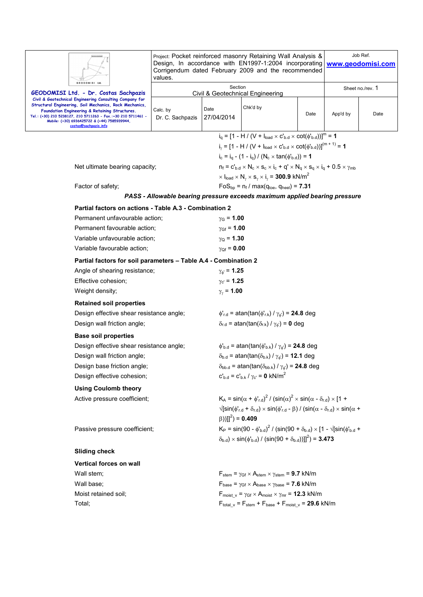| GEODOMISI Ltd                                                                                                                                                                                                                                                                                                  | Project: Pocket reinforced masonry Retaining Wall Analysis &<br>Design, In accordance with EN1997-1:2004 incorporating<br>Corrigendum dated February 2009 and the recommended<br>values. |                                                                                            | Job Ref.<br>www.geodomisi.com                                                                                                                                                                           |      |                  |      |  |  |
|----------------------------------------------------------------------------------------------------------------------------------------------------------------------------------------------------------------------------------------------------------------------------------------------------------------|------------------------------------------------------------------------------------------------------------------------------------------------------------------------------------------|--------------------------------------------------------------------------------------------|---------------------------------------------------------------------------------------------------------------------------------------------------------------------------------------------------------|------|------------------|------|--|--|
| GEODOMISI Ltd. - Dr. Costas Sachpazis                                                                                                                                                                                                                                                                          | Section<br>Civil & Geotechnical Engineering                                                                                                                                              |                                                                                            |                                                                                                                                                                                                         |      | Sheet no./rev. 1 |      |  |  |
| Civil & Geotechnical Engineering Consulting Company for<br>Structural Engineering, Soil Mechanics, Rock Mechanics,<br>Foundation Engineering & Retaining Structures.<br>Tel.: (+30) 210 5238127, 210 5711263 - Fax.:+30 210 5711461 -<br>Mobile: (+30) 6936425722 & (+44) 7585939944,<br>costas@sachpazis.info | Calc. by<br>Dr. C. Sachpazis                                                                                                                                                             | Date<br>27/04/2014                                                                         | Chk'd by                                                                                                                                                                                                | Date | App'd by         | Date |  |  |
|                                                                                                                                                                                                                                                                                                                |                                                                                                                                                                                          |                                                                                            | $i_q = [1 - H / (V + I_{load} \times C_{b,d} \times \cot(\phi_{b,d}))]^m = 1$                                                                                                                           |      |                  |      |  |  |
|                                                                                                                                                                                                                                                                                                                |                                                                                                                                                                                          |                                                                                            | $i_y = [1 - H / (V + I_{load} \times C_{b.d} \times \cot(\phi_{b.d}))]^{(m+1)} = 1$                                                                                                                     |      |                  |      |  |  |
|                                                                                                                                                                                                                                                                                                                |                                                                                                                                                                                          |                                                                                            | $i_c = i_q - (1 - i_q) / (N_c \times \tan(\phi_{b.d})) = 1$                                                                                                                                             |      |                  |      |  |  |
| Net ultimate bearing capacity;                                                                                                                                                                                                                                                                                 |                                                                                                                                                                                          |                                                                                            | $n_f = c'_{b.d} \times N_c \times s_c \times i_c + q' \times N_q \times s_q \times i_q + 0.5 \times \gamma_{mb}$                                                                                        |      |                  |      |  |  |
|                                                                                                                                                                                                                                                                                                                |                                                                                                                                                                                          |                                                                                            | $\times$ l <sub>load</sub> $\times$ N <sub>y</sub> $\times$ s <sub>y</sub> $\times$ i <sub>y</sub> = 300.9 kN/m <sup>2</sup>                                                                            |      |                  |      |  |  |
| Factor of safety;                                                                                                                                                                                                                                                                                              |                                                                                                                                                                                          |                                                                                            | $FoS_{bp} = n_f / max(q_{toe}, q_{heel}) = 7.31$                                                                                                                                                        |      |                  |      |  |  |
|                                                                                                                                                                                                                                                                                                                |                                                                                                                                                                                          |                                                                                            | PASS - Allowable bearing pressure exceeds maximum applied bearing pressure                                                                                                                              |      |                  |      |  |  |
| Partial factors on actions - Table A.3 - Combination 2                                                                                                                                                                                                                                                         |                                                                                                                                                                                          |                                                                                            |                                                                                                                                                                                                         |      |                  |      |  |  |
| Permanent unfavourable action;                                                                                                                                                                                                                                                                                 |                                                                                                                                                                                          | $\gamma$ <sub>G</sub> = 1.00                                                               |                                                                                                                                                                                                         |      |                  |      |  |  |
| Permanent favourable action;                                                                                                                                                                                                                                                                                   |                                                                                                                                                                                          | $y_{Gf} = 1.00$                                                                            |                                                                                                                                                                                                         |      |                  |      |  |  |
| Variable unfavourable action;                                                                                                                                                                                                                                                                                  |                                                                                                                                                                                          | $\gamma_{\rm Q}$ = 1.30                                                                    |                                                                                                                                                                                                         |      |                  |      |  |  |
| Variable favourable action;                                                                                                                                                                                                                                                                                    |                                                                                                                                                                                          | $\gamma_{Qf} = 0.00$                                                                       |                                                                                                                                                                                                         |      |                  |      |  |  |
| Partial factors for soil parameters - Table A.4 - Combination 2                                                                                                                                                                                                                                                |                                                                                                                                                                                          |                                                                                            |                                                                                                                                                                                                         |      |                  |      |  |  |
| Angle of shearing resistance;                                                                                                                                                                                                                                                                                  |                                                                                                                                                                                          | $\gamma_{\phi} = 1.25$                                                                     |                                                                                                                                                                                                         |      |                  |      |  |  |
| Effective cohesion;                                                                                                                                                                                                                                                                                            |                                                                                                                                                                                          | $\gamma_{C} = 1.25$                                                                        |                                                                                                                                                                                                         |      |                  |      |  |  |
| Weight density;                                                                                                                                                                                                                                                                                                |                                                                                                                                                                                          | $\gamma_{\gamma}$ = 1.00                                                                   |                                                                                                                                                                                                         |      |                  |      |  |  |
| <b>Retained soil properties</b>                                                                                                                                                                                                                                                                                |                                                                                                                                                                                          |                                                                                            |                                                                                                                                                                                                         |      |                  |      |  |  |
| Design effective shear resistance angle;                                                                                                                                                                                                                                                                       |                                                                                                                                                                                          |                                                                                            | $\phi'_{r.d}$ = atan(tan( $\phi'_{r.k}$ ) / $\gamma_{\phi'}$ ) = 24.8 deg                                                                                                                               |      |                  |      |  |  |
| Design wall friction angle;                                                                                                                                                                                                                                                                                    |                                                                                                                                                                                          |                                                                                            | $\delta_{r.d}$ = atan(tan( $\delta_{r.k}$ ) / $\gamma_{\phi}$ ) = 0 deg                                                                                                                                 |      |                  |      |  |  |
| <b>Base soil properties</b>                                                                                                                                                                                                                                                                                    |                                                                                                                                                                                          |                                                                                            |                                                                                                                                                                                                         |      |                  |      |  |  |
| Design effective shear resistance angle;                                                                                                                                                                                                                                                                       |                                                                                                                                                                                          |                                                                                            | $\phi_{\rm b.d}$ = atan(tan( $\phi_{\rm b.k}$ ) / $\gamma_{\phi}$ ) = <b>24.8</b> deg                                                                                                                   |      |                  |      |  |  |
| Design wall friction angle;                                                                                                                                                                                                                                                                                    |                                                                                                                                                                                          | $\delta_{b.d}$ = atan(tan( $\delta_{b.k}$ ) / $\gamma_{\phi}$ ) = 12.1 deg                 |                                                                                                                                                                                                         |      |                  |      |  |  |
| Design base friction angle;                                                                                                                                                                                                                                                                                    |                                                                                                                                                                                          | $\delta_{\text{bb.d}}$ = atan(tan( $\delta_{\text{bb.k}}$ ) / $\gamma_{\phi}$ ) = 24.8 deg |                                                                                                                                                                                                         |      |                  |      |  |  |
| Design effective cohesion;                                                                                                                                                                                                                                                                                     |                                                                                                                                                                                          | $c'_{b.d} = c'_{b.k} / \gamma_{c'} = 0$ kN/m <sup>2</sup>                                  |                                                                                                                                                                                                         |      |                  |      |  |  |
| <b>Using Coulomb theory</b>                                                                                                                                                                                                                                                                                    |                                                                                                                                                                                          |                                                                                            |                                                                                                                                                                                                         |      |                  |      |  |  |
| Active pressure coefficient;                                                                                                                                                                                                                                                                                   |                                                                                                                                                                                          |                                                                                            | $K_A = \sin(\alpha + \phi'_{rad})^2 / (\sin(\alpha)^2 \times \sin(\alpha - \delta_{rad}) \times [1 +$                                                                                                   |      |                  |      |  |  |
|                                                                                                                                                                                                                                                                                                                |                                                                                                                                                                                          | $(\beta))]$ ] <sup>2</sup> ) = <b>0.409</b>                                                | $\sqrt{\left[\sin(\phi_{r,d} + \delta_{r,d}) \times \sin(\phi_{r,d} - \beta) / (\sin(\alpha - \delta_{r,d}) \times \sin(\alpha + \delta_{r,d})\right]}$                                                 |      |                  |      |  |  |
| Passive pressure coefficient;                                                                                                                                                                                                                                                                                  |                                                                                                                                                                                          |                                                                                            | $K_P = \sin(90 - \phi_{b,d})^2 / (\sin(90 + \delta_{b,d}) \times [1 - \sqrt{[\sin(\phi_{b,d} +$<br>$(\delta_{b,d}) \times \sin(\phi_{b,d}) / (\sin(90 + \delta_{b,d}))$ ] <sup>2</sup> ) = <b>3.473</b> |      |                  |      |  |  |
| <b>Sliding check</b>                                                                                                                                                                                                                                                                                           |                                                                                                                                                                                          |                                                                                            |                                                                                                                                                                                                         |      |                  |      |  |  |
| Vertical forces on wall                                                                                                                                                                                                                                                                                        |                                                                                                                                                                                          |                                                                                            |                                                                                                                                                                                                         |      |                  |      |  |  |
| Wall stem;                                                                                                                                                                                                                                                                                                     |                                                                                                                                                                                          |                                                                                            | $F_{stem} = \gamma_{Gf} \times A_{stem} \times \gamma_{stem} = 9.7$ kN/m                                                                                                                                |      |                  |      |  |  |
| Wall base;                                                                                                                                                                                                                                                                                                     |                                                                                                                                                                                          |                                                                                            | $F_{\text{base}} = \gamma_{\text{Gf}} \times A_{\text{base}} \times \gamma_{\text{base}} = 7.6 \text{ kN/m}$                                                                                            |      |                  |      |  |  |
| Moist retained soil:                                                                                                                                                                                                                                                                                           |                                                                                                                                                                                          |                                                                                            | $F_{\text{moist }\nu} = \gamma_{\text{Gf}} \times A_{\text{moist }\times \gamma_{\text{mr}}} = 12.3 \text{ kN/m}$                                                                                       |      |                  |      |  |  |
| Total;                                                                                                                                                                                                                                                                                                         |                                                                                                                                                                                          |                                                                                            | $F_{total_v} = F_{stem} + F_{base} + F_{moist_v} = 29.6$ kN/m                                                                                                                                           |      |                  |      |  |  |
|                                                                                                                                                                                                                                                                                                                |                                                                                                                                                                                          |                                                                                            |                                                                                                                                                                                                         |      |                  |      |  |  |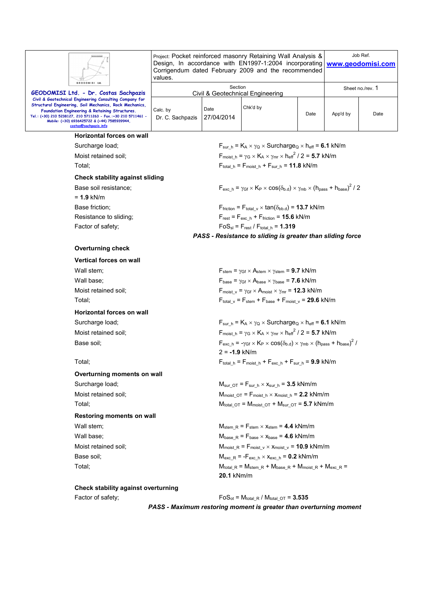|                                                                                                               | Project: Pocket reinforced masonry Retaining Wall Analysis &<br>Design, In accordance with EN1997-1:2004 incorporating<br>Corrigendum dated February 2009 and the recommended<br>values. | Job Ref.<br>www.geodomisi.com |                                                                                                                                                                         |      |                  |      |  |
|---------------------------------------------------------------------------------------------------------------|------------------------------------------------------------------------------------------------------------------------------------------------------------------------------------------|-------------------------------|-------------------------------------------------------------------------------------------------------------------------------------------------------------------------|------|------------------|------|--|
| GEODOMISI Ltd.                                                                                                |                                                                                                                                                                                          | Section                       |                                                                                                                                                                         |      | Sheet no./rev. 1 |      |  |
| GEODOMISI Ltd. - Dr. Costas Sachpazis<br>Civil & Geotechnical Engineering Consulting Company for              | <b>Civil &amp; Geotechnical Engineering</b>                                                                                                                                              |                               |                                                                                                                                                                         |      |                  |      |  |
| Structural Engineering, Soil Mechanics, Rock Mechanics,<br>Foundation Engineering & Retaining Structures.     | Calc. by                                                                                                                                                                                 | Date                          | Chk'd by                                                                                                                                                                |      |                  |      |  |
| Tel.: (+30) 210 5238127, 210 5711263 - Fax.:+30 210 5711461 -<br>Mobile: (+30) 6936425722 & (+44) 7585939944, | Dr. C. Sachpazis                                                                                                                                                                         | 27/04/2014                    |                                                                                                                                                                         | Date | App'd by         | Date |  |
| costas@sachpazis.info                                                                                         |                                                                                                                                                                                          |                               |                                                                                                                                                                         |      |                  |      |  |
| Horizontal forces on wall                                                                                     |                                                                                                                                                                                          |                               |                                                                                                                                                                         |      |                  |      |  |
| Surcharge load;                                                                                               |                                                                                                                                                                                          |                               | $F_{sur h} = K_A \times \gamma_Q \times$ Surcharge <sub>Q</sub> $\times$ h <sub>eff</sub> = 6.1 kN/m                                                                    |      |                  |      |  |
| Moist retained soil:                                                                                          |                                                                                                                                                                                          |                               | $F_{\text{moist h}} = \gamma_G \times K_A \times \gamma_{\text{mr}} \times h_{\text{eff}}^2 / 2 = 5.7 \text{ kN/m}$                                                     |      |                  |      |  |
| Total:                                                                                                        |                                                                                                                                                                                          |                               | $F_{\text{total h}} = F_{\text{moist h}} + F_{\text{sur h}} = 11.8 \text{ kN/m}$                                                                                        |      |                  |      |  |
| <b>Check stability against sliding</b>                                                                        |                                                                                                                                                                                          |                               |                                                                                                                                                                         |      |                  |      |  |
| Base soil resistance;                                                                                         |                                                                                                                                                                                          |                               | $F_{\text{exc h}} = \gamma_{\text{Gf}} \times K_{\text{P}} \times \cos(\delta_{\text{b.d}}) \times \gamma_{\text{mb}} \times (h_{\text{pass}} + h_{\text{base}})^2 / 2$ |      |                  |      |  |
| $= 1.9$ kN/m                                                                                                  |                                                                                                                                                                                          |                               |                                                                                                                                                                         |      |                  |      |  |
| Base friction:                                                                                                |                                                                                                                                                                                          |                               | $F_{\text{friction}} = F_{\text{total v}} \times \tan(\delta_{\text{bb.d}}) = 13.7 \text{ kN/m}$                                                                        |      |                  |      |  |
| Resistance to sliding:                                                                                        |                                                                                                                                                                                          |                               | $F_{rest} = F_{exc h} + F_{friction} = 15.6$ kN/m<br>$FoS_{sl} = F_{rest} / F_{total h} = 1.319$                                                                        |      |                  |      |  |
| Factor of safety;                                                                                             |                                                                                                                                                                                          |                               | PASS - Resistance to sliding is greater than sliding force                                                                                                              |      |                  |      |  |
|                                                                                                               |                                                                                                                                                                                          |                               |                                                                                                                                                                         |      |                  |      |  |
| <b>Overturning check</b>                                                                                      |                                                                                                                                                                                          |                               |                                                                                                                                                                         |      |                  |      |  |
| <b>Vertical forces on wall</b>                                                                                |                                                                                                                                                                                          |                               |                                                                                                                                                                         |      |                  |      |  |
| Wall stem;                                                                                                    |                                                                                                                                                                                          |                               | $F_{stem}$ = $\gamma_{GF}$ $\times$ Astem $\times$ $\gamma_{stem}$ = 9.7 kN/m                                                                                           |      |                  |      |  |
| Wall base;                                                                                                    |                                                                                                                                                                                          |                               | $F_{base} = \gamma_{GF} \times A_{base} \times \gamma_{base} = 7.6$ kN/m                                                                                                |      |                  |      |  |
| Moist retained soil:                                                                                          |                                                                                                                                                                                          |                               | $F_{\text{moist v}} = \gamma_{\text{Gf}} \times A_{\text{moist}} \times \gamma_{\text{mr}} = 12.3 \text{ kN/m}$                                                         |      |                  |      |  |
| Total:                                                                                                        |                                                                                                                                                                                          |                               | $F_{\text{total }v} = F_{\text{stem}} + F_{\text{base}} + F_{\text{moist }v} = 29.6 \text{ kN/m}$                                                                       |      |                  |      |  |
| <b>Horizontal forces on wall</b>                                                                              |                                                                                                                                                                                          |                               |                                                                                                                                                                         |      |                  |      |  |
| Surcharge load;                                                                                               |                                                                                                                                                                                          |                               | $F_{\text{sur h}} = K_A \times \gamma_Q \times \text{Surcharge}_Q \times h_{\text{eff}} = 6.1 \text{ kN/m}$                                                             |      |                  |      |  |
| Moist retained soil;                                                                                          |                                                                                                                                                                                          |                               | $F_{\text{moist h}} = \gamma_G \times K_A \times \gamma_{\text{mr}} \times h_{\text{eff}}^2 / 2 = 5.7 \text{ kN/m}$                                                     |      |                  |      |  |
| Base soil;                                                                                                    |                                                                                                                                                                                          |                               | $F_{\text{exc h}} = -\gamma_{\text{Gf}} \times K_{\text{P}} \times \cos(\delta_{\text{b.d}}) \times \gamma_{\text{mb}} \times (h_{\text{pass}} + h_{\text{base}})^2$    |      |                  |      |  |
|                                                                                                               |                                                                                                                                                                                          | $2 = -1.9$ kN/m               |                                                                                                                                                                         |      |                  |      |  |
| Total;                                                                                                        |                                                                                                                                                                                          |                               | $F_{\text{total\_h}} = F_{\text{moist\_h}} + F_{\text{exc\_h}} + F_{\text{sur\_h}} = 9.9 \text{ kN/m}$                                                                  |      |                  |      |  |
| Overturning moments on wall                                                                                   |                                                                                                                                                                                          |                               |                                                                                                                                                                         |      |                  |      |  |
| Surcharge load;                                                                                               |                                                                                                                                                                                          |                               | $M_{\text{sur OT}} = F_{\text{sur h}} \times x_{\text{sur h}} = 3.5 \text{ kNm/m}$                                                                                      |      |                  |      |  |
| Moist retained soil:                                                                                          |                                                                                                                                                                                          |                               | $M_{\text{moist\ Of}} = F_{\text{moist\ h}} \times x_{\text{moist\ h}} = 2.2 \text{ kNm/m}$                                                                             |      |                  |      |  |
| Total;                                                                                                        |                                                                                                                                                                                          |                               | $M_{\text{total OT}} = M_{\text{moist OT}} + M_{\text{sur OT}} = 5.7 \text{ kNm/m}$                                                                                     |      |                  |      |  |
| Restoring moments on wall                                                                                     |                                                                                                                                                                                          |                               |                                                                                                                                                                         |      |                  |      |  |
| Wall stem;                                                                                                    |                                                                                                                                                                                          |                               | $M_{stem R}$ = $F_{stem}$ $\times$ $x_{stem}$ = 4.4 kNm/m                                                                                                               |      |                  |      |  |
| Wall base;                                                                                                    |                                                                                                                                                                                          |                               | $M_{base R} = F_{base} \times X_{base} = 4.6$ kNm/m                                                                                                                     |      |                  |      |  |
| Moist retained soil;                                                                                          |                                                                                                                                                                                          |                               | $M_{\text{moist\_R}} = F_{\text{moist\_v}} \times X_{\text{moist\_v}} = 10.9 \text{ kNm/m}$                                                                             |      |                  |      |  |
| Base soil;                                                                                                    | $M_{\text{exc R}} = -F_{\text{exc h}} \times x_{\text{exc h}} = 0.2 \text{ kNm/m}$                                                                                                       |                               |                                                                                                                                                                         |      |                  |      |  |
| Total;                                                                                                        |                                                                                                                                                                                          | 20.1 kNm/m                    | $M_{\text{total R}} = M_{\text{stem R}} + M_{\text{base R}} + M_{\text{moist R}} + M_{\text{exc R}} =$                                                                  |      |                  |      |  |
| <b>Check stability against overturning</b>                                                                    |                                                                                                                                                                                          |                               |                                                                                                                                                                         |      |                  |      |  |
| Factor of safety;                                                                                             |                                                                                                                                                                                          |                               | $FoS_{ot} = M_{total, R} / M_{total, OT} = 3.535$                                                                                                                       |      |                  |      |  |

*PASS - Maximum restoring moment is greater than overturning moment*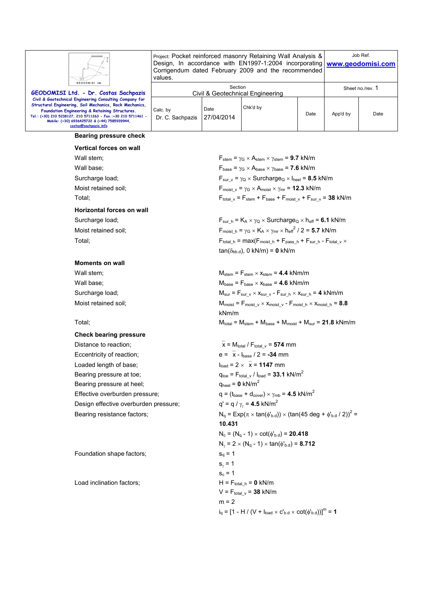

| Vertical forces on wall   |                                                                                                                         |
|---------------------------|-------------------------------------------------------------------------------------------------------------------------|
| Wall stem;                | $F_{stem}$ = $\gamma$ <sub>G</sub> $\times$ A <sub>stem</sub> $\times$ $\gamma$ <sub>stem</sub> = <b>9.7</b> kN/m       |
| Wall base;                | $F_{base} = \gamma_G \times A_{base} \times \gamma_{base} = 7.6$ kN/m                                                   |
| Surcharge load;           | $F_{\text{sur v}} = \gamma_{\text{Q}} \times \text{Surcharge}_{\text{Q}} \times I_{\text{heel}} = 8.5 \text{ kN/m}$     |
| Moist retained soil;      | $F_{\text{moist v}} = \gamma_G \times A_{\text{moist}} \times \gamma_{\text{mr}} = 12.3 \text{ kN/m}$                   |
| Total:                    | $F_{\text{total v}} = F_{\text{stem}} + F_{\text{base}} + F_{\text{moist v}} + F_{\text{sur v}} = 38$ kN/m              |
| Horizontal forces on wall |                                                                                                                         |
| Surcharge load;           | $F_{\text{sur h}} = K_A \times \gamma_Q \times \text{Surcharge}_Q \times h_{\text{eff}} = 6.1 \text{ kN/m}$             |
| Moist retained soil;      | $F_{\text{moist h}} = \gamma_G \times K_A \times \gamma_{\text{mr}} \times {h_{\text{eff}}}^2 / 2 = 5.7 \text{ kN/m}$   |
| Total;                    | $F_{\text{total h}} = \text{max}(F_{\text{moist h}} + F_{\text{pass h}} + F_{\text{sur h}} - F_{\text{total v}} \times$ |

### **Moments on wall**

### **Check bearing pressure**

Distance to reaction;  $\overline{x} = M_{total}/F_{total} = 574$  mm Eccentricity of reaction;  $e = \overline{x} - I_{base} / 2 = -34$  mm Loaded length of base;  $l_{load} = 2 \times \overline{x} = 1147$  mm Bearing pressure at toe;  $q_{\text{toe}} = F_{\text{total}} / l_{\text{load}} = 33.1 \text{ kN/m}^2$ Bearing pressure at heel;  $q_{\text{heel}} = 0 \text{ kN/m}^2$ Effective overburden pressure;  $q = (t_{base} + d_{cover}) \times \gamma_{mb} = 4.5 \text{ kN/m}^2$ Design effective overburden pressure;

Foundation shape factors;  $s_q = 1$ 

 $tan(\delta_{\text{bb.d}})$ , 0 kN/m) = **0** kN/m Wall stem;  $M_{\text{stem}} = F_{\text{stem}} \times x_{\text{stem}} = 4.4 \text{ kNm/m}$ Wall base;  $M_{base} = F_{base} \times x_{base} = 4.6 \text{ kNm/m}$ Surcharge load;  $M_{\text{sur}} = F_{\text{sur}} \vee x_{\text{sur}} \vee - F_{\text{sur h}} \times x_{\text{sur h}} = 4 \text{ kNm/m}$ Moist retained soil;  $M_{\text{moist}} = F_{\text{moist\_v}} \times X_{\text{moist\_v}} - F_{\text{moist\_h}} \times X_{\text{moist\_h}} = 8.8$ kNm/m

Total;  $M_{total} = M_{stem} + M_{base} + M_{moist} + M_{sur} = 21.8 \text{ kNm/m}$ 

 $q' = q / \gamma_v = 4.5$  kN/m<sup>2</sup> Bearing resistance factors;  $N_q = Exp(\pi \times tan(\phi'_{b.d})) \times (tan(45 deg + \phi'_{b.d}/ 2))^2 =$ **10.431**  $N_c = (N_q - 1) \times \cot(\phi_{b.d}) = 20.418$  $N_{\gamma}$  = 2  $\times$  (N<sub>q</sub> - 1)  $\times$  tan( $\phi$ <sup>1</sup><sub>b.d</sub>) = **8.712**  $s_{\gamma} = 1$  $s_c = 1$ Load inclination factors;  $H = F_{total/h} = 0$  kN/m  $V = F_{total_v} = 38$  kN/m  $m = 2$  $i_q = [1 - H / (V + I_{load} \times C_{b.d} \times \cot(\phi_{b.d}))]^m = 1$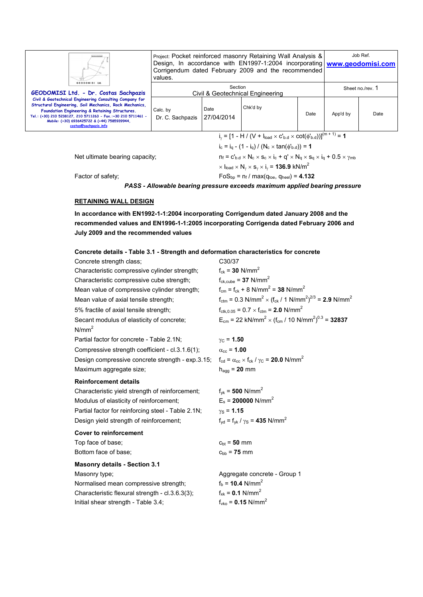| GEODOMISI Ltd.                                                                                                                                                                                                                                                                                                 | Project: Pocket reinforced masonry Retaining Wall Analysis &<br>Design, In accordance with EN1997-1:2004 incorporating   www.geodomisi.com<br>Corrigendum dated February 2009 and the recommended<br>values. |                    |                                                                                       |      |                  | Job Ref. |  |
|----------------------------------------------------------------------------------------------------------------------------------------------------------------------------------------------------------------------------------------------------------------------------------------------------------------|--------------------------------------------------------------------------------------------------------------------------------------------------------------------------------------------------------------|--------------------|---------------------------------------------------------------------------------------|------|------------------|----------|--|
| GEODOMISI Ltd. - Dr. Costas Sachpazis                                                                                                                                                                                                                                                                          | Section<br>Civil & Geotechnical Engineering                                                                                                                                                                  |                    |                                                                                       |      | Sheet no./rev. 1 |          |  |
| Civil & Geotechnical Engineering Consulting Company for<br>Structural Engineering, Soil Mechanics, Rock Mechanics,<br>Foundation Engineering & Retaining Structures.<br>Tel.: (+30) 210 5238127, 210 5711263 - Fax.:+30 210 5711461 -<br>Mobile: (+30) 6936425722 & (+44) 7585939944,<br>costas@sachpazis.info | Calc. by<br>Dr. C. Sachpazis                                                                                                                                                                                 | Date<br>27/04/2014 | Chk'd by                                                                              | Date | App'd by         | Date     |  |
|                                                                                                                                                                                                                                                                                                                |                                                                                                                                                                                                              |                    | $i_{y} = [1 - H / (V + I_{load} \times C_{b.d} \times \cot(\phi_{b.d}))]^{(m+1)} = 1$ |      |                  |          |  |
|                                                                                                                                                                                                                                                                                                                |                                                                                                                                                                                                              |                    | $i_c = i_a - (1 - i_a) / (N_c \times \tan(\phi_{b,d})) = 1$                           |      |                  |          |  |
| Net ultimate bearing capacity;                                                                                                                                                                                                                                                                                 | $n_f = c'_{b.d} \times N_c \times s_c \times i_c + q' \times N_q \times s_q \times i_q + 0.5 \times \gamma_{mb}$                                                                                             |                    |                                                                                       |      |                  |          |  |
|                                                                                                                                                                                                                                                                                                                | $\times$ l <sub>load</sub> $\times$ N <sub>y</sub> $\times$ s <sub>y</sub> $\times$ i <sub>y</sub> = <b>136.9</b> kN/m <sup>2</sup>                                                                          |                    |                                                                                       |      |                  |          |  |
| Factor of safety;                                                                                                                                                                                                                                                                                              |                                                                                                                                                                                                              |                    | $FoS_{\text{bp}} = n_f / \text{max}(q_{\text{toe}}, q_{\text{heel}}) = 4.132$         |      |                  |          |  |
|                                                                                                                                                                                                                                                                                                                |                                                                                                                                                                                                              |                    | PASS - Allowable bearing pressure exceeds maximum applied bearing pressure            |      |                  |          |  |

# **RETAINING WALL DESIGN**

**In accordance with EN1992-1-1:2004 incorporating Corrigendum dated January 2008 and the recommended values and EN1996-1-1:2005 incorporating Corrigenda dated February 2006 and July 2009 and the recommended values** 

| Concrete details - Table 3.1 - Strength and deformation characteristics for concrete |                                                                                                            |
|--------------------------------------------------------------------------------------|------------------------------------------------------------------------------------------------------------|
| Concrete strength class;                                                             | C30/37                                                                                                     |
| Characteristic compressive cylinder strength;                                        | $f_{ck}$ = 30 N/mm <sup>2</sup>                                                                            |
| Characteristic compressive cube strength;                                            | $f_{ck.cube} = 37$ N/mm <sup>2</sup>                                                                       |
| Mean value of compressive cylinder strength;                                         | $f_{cm} = f_{ck} + 8$ N/mm <sup>2</sup> = 38 N/mm <sup>2</sup>                                             |
| Mean value of axial tensile strength;                                                | $f_{\text{ctm}} = 0.3 \text{ N/mm}^2 \times (f_{\text{ck}} / 1 \text{ N/mm}^2)^{2/3} = 2.9 \text{ N/mm}^2$ |
| 5% fractile of axial tensile strength;                                               | $f_{\text{ctk.0.05}} = 0.7 \times f_{\text{ctm}} = 2.0 \text{ N/mm}^2$                                     |
| Secant modulus of elasticity of concrete;<br>N/mm <sup>2</sup>                       | $E_{cm}$ = 22 kN/mm <sup>2</sup> × (f <sub>cm</sub> / 10 N/mm <sup>2</sup> ) <sup>0.3</sup> = <b>32837</b> |
| Partial factor for concrete - Table 2.1N;                                            | $\gamma_{\rm C}$ = 1.50                                                                                    |
| Compressive strength coefficient - cl.3.1.6(1);                                      | $\alpha_{\rm cc}$ = 1.00                                                                                   |
| Design compressive concrete strength - exp.3.15;                                     | $f_{\rm cd} = \alpha_{\rm cc} \times f_{\rm ck} / \gamma_{\rm C} = 20.0$ N/mm <sup>2</sup>                 |
| Maximum aggregate size;                                                              | $h_{agg} = 20$ mm                                                                                          |
|                                                                                      |                                                                                                            |
| <b>Reinforcement details</b>                                                         |                                                                                                            |
| Characteristic yield strength of reinforcement;                                      | $f_{\rm vk}$ = 500 N/mm <sup>2</sup>                                                                       |
| Modulus of elasticity of reinforcement;                                              | $E_s$ = 200000 N/mm <sup>2</sup>                                                                           |
| Partial factor for reinforcing steel - Table 2.1N;                                   | $\gamma_{\rm S}$ = 1.15                                                                                    |
| Design yield strength of reinforcement;                                              | $f_{\text{yd}} = f_{\text{yk}} / \gamma_{\text{S}} = 435 \text{ N/mm}^2$                                   |
| <b>Cover to reinforcement</b>                                                        |                                                                                                            |
| Top face of base;                                                                    | $c_{\rm bt} = 50$ mm                                                                                       |
| Bottom face of base;                                                                 | $c_{bb} = 75$ mm                                                                                           |
| <b>Masonry details - Section 3.1</b>                                                 |                                                                                                            |
| Masonry type;                                                                        | Aggregate concrete - Group 1                                                                               |
| Normalised mean compressive strength;                                                | $f_b = 10.4$ N/mm <sup>2</sup>                                                                             |
| Characteristic flexural strength - cl.3.6.3(3);                                      | $f_{xk} = 0.1$ N/mm <sup>2</sup><br>$f_{\text{vko}} = 0.15 \text{ N/mm}^2$                                 |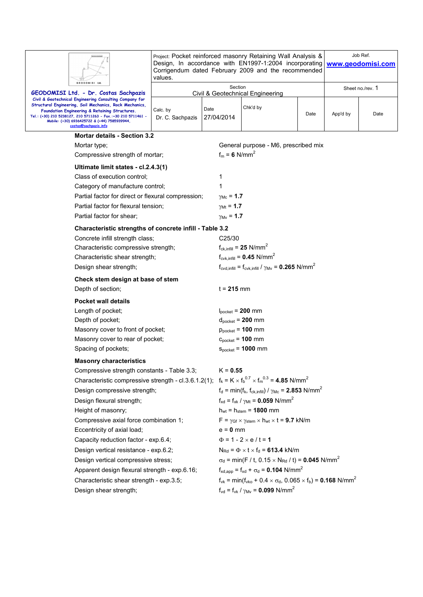| <b>GEODOMISI Ltd</b>                                                                                                                                                                                                                                                                                                                                                                                                                                                                                                                                      | Project: Pocket reinforced masonry Retaining Wall Analysis &<br>Design, In accordance with EN1997-1:2004 incorporating<br>Corrigendum dated February 2009 and the recommended<br>values. |                                                                                    | Job Ref.<br>www.geodomisi.com                                                                                                                                                                                                                                                                                                                                                                                                                                                                                                                                                                                                             |                  |          |      |
|-----------------------------------------------------------------------------------------------------------------------------------------------------------------------------------------------------------------------------------------------------------------------------------------------------------------------------------------------------------------------------------------------------------------------------------------------------------------------------------------------------------------------------------------------------------|------------------------------------------------------------------------------------------------------------------------------------------------------------------------------------------|------------------------------------------------------------------------------------|-------------------------------------------------------------------------------------------------------------------------------------------------------------------------------------------------------------------------------------------------------------------------------------------------------------------------------------------------------------------------------------------------------------------------------------------------------------------------------------------------------------------------------------------------------------------------------------------------------------------------------------------|------------------|----------|------|
| GEODOMISI Ltd. - Dr. Costas Sachpazis                                                                                                                                                                                                                                                                                                                                                                                                                                                                                                                     | Section<br>Civil & Geotechnical Engineering                                                                                                                                              |                                                                                    |                                                                                                                                                                                                                                                                                                                                                                                                                                                                                                                                                                                                                                           | Sheet no./rev. 1 |          |      |
| Civil & Geotechnical Engineering Consulting Company for<br>Structural Engineering, Soil Mechanics, Rock Mechanics,<br>Foundation Engineering & Retaining Structures.<br>Tel.: (+30) 210 5238127, 210 5711263 - Fax.:+30 210 5711461 -<br>Mobile: (+30) 6936425722 & (+44) 7585939944,<br>costas@sachpazis.info                                                                                                                                                                                                                                            | Calc. by<br>Dr. C. Sachpazis                                                                                                                                                             | Date<br>27/04/2014                                                                 | Chk'd by                                                                                                                                                                                                                                                                                                                                                                                                                                                                                                                                                                                                                                  | Date             | App'd by | Date |
| <b>Mortar details - Section 3.2</b>                                                                                                                                                                                                                                                                                                                                                                                                                                                                                                                       |                                                                                                                                                                                          |                                                                                    |                                                                                                                                                                                                                                                                                                                                                                                                                                                                                                                                                                                                                                           |                  |          |      |
| Mortar type;<br>Compressive strength of mortar;                                                                                                                                                                                                                                                                                                                                                                                                                                                                                                           |                                                                                                                                                                                          | $f_m = 6$ N/mm <sup>2</sup>                                                        | General purpose - M6, prescribed mix                                                                                                                                                                                                                                                                                                                                                                                                                                                                                                                                                                                                      |                  |          |      |
| Ultimate limit states - cl.2.4.3(1)<br>Class of execution control;<br>Category of manufacture control;<br>Partial factor for direct or flexural compression;<br>Partial factor for flexural tension;<br>Partial factor for shear:                                                                                                                                                                                                                                                                                                                         |                                                                                                                                                                                          | 1<br>1<br>$\gamma_{\text{Mc}} = 1.7$<br>$\gamma_{Mt} = 1.7$<br>$\gamma_{Mv} = 1.7$ |                                                                                                                                                                                                                                                                                                                                                                                                                                                                                                                                                                                                                                           |                  |          |      |
| Characteristic strengths of concrete infill - Table 3.2                                                                                                                                                                                                                                                                                                                                                                                                                                                                                                   |                                                                                                                                                                                          |                                                                                    |                                                                                                                                                                                                                                                                                                                                                                                                                                                                                                                                                                                                                                           |                  |          |      |
| Concrete infill strength class;<br>Characteristic compressive strength;<br>Characteristic shear strength;<br>Design shear strength;                                                                                                                                                                                                                                                                                                                                                                                                                       |                                                                                                                                                                                          |                                                                                    | C <sub>25</sub> /30<br>$f_{ck.infill}$ = 25 N/mm <sup>2</sup><br>$f_{\text{cvk.infill}} = 0.45 \text{ N/mm}^2$<br>$f_{\text{cvd,infill}} = f_{\text{cvk,infill}} / \gamma_{\text{Mv}} = 0.265 \text{ N/mm}^2$                                                                                                                                                                                                                                                                                                                                                                                                                             |                  |          |      |
| Check stem design at base of stem                                                                                                                                                                                                                                                                                                                                                                                                                                                                                                                         |                                                                                                                                                                                          |                                                                                    |                                                                                                                                                                                                                                                                                                                                                                                                                                                                                                                                                                                                                                           |                  |          |      |
| Depth of section;                                                                                                                                                                                                                                                                                                                                                                                                                                                                                                                                         |                                                                                                                                                                                          | $t = 215$ mm                                                                       |                                                                                                                                                                                                                                                                                                                                                                                                                                                                                                                                                                                                                                           |                  |          |      |
| <b>Pocket wall details</b><br>Length of pocket;<br>Depth of pocket;<br>Masonry cover to front of pocket;<br>Masonry cover to rear of pocket;<br>Spacing of pockets;                                                                                                                                                                                                                                                                                                                                                                                       |                                                                                                                                                                                          |                                                                                    | $I_{\text{pocket}}$ = 200 mm<br>$d_{\text{pocket}} = 200$ mm<br>$p_{\text{pocket}} = 100$ mm<br>$c_{\text{pocket}} = 100$ mm<br>$S_{pocket} = 1000$ mm                                                                                                                                                                                                                                                                                                                                                                                                                                                                                    |                  |          |      |
| <b>Masonry characteristics</b>                                                                                                                                                                                                                                                                                                                                                                                                                                                                                                                            |                                                                                                                                                                                          |                                                                                    |                                                                                                                                                                                                                                                                                                                                                                                                                                                                                                                                                                                                                                           |                  |          |      |
| Compressive strength constants - Table 3.3;<br>Characteristic compressive strength - cl.3.6.1.2(1); $f_k = K \times f_b^{0.7} \times f_m^{0.3} = 4.85$ N/mm <sup>2</sup><br>Design compressive strength;<br>Design flexural strength;<br>Height of masonry;<br>Compressive axial force combination 1;<br>Eccentricity of axial load;<br>Capacity reduction factor - exp.6.4;<br>Design vertical resistance - exp.6.2;<br>Design vertical compressive stress;<br>Apparent design flexural strength - exp.6.16;<br>Characteristic shear strength - exp.3.5; |                                                                                                                                                                                          | $K = 0.55$<br>$e = 0$ mm                                                           | $f_d = min(f_k, f_{ck,infill}) / \gamma_{Mc} = 2.853 N/mm^{-2}$<br>$f_{xd} = f_{xk} / \gamma_{Mt} = 0.059$ N/mm <sup>2</sup><br>$h_{wt} = h_{stem} = 1800$ mm<br>$F = \gamma_{Gf} \times \gamma_{stem} \times h_{wt} \times t = 9.7$ kN/m<br>$\Phi = 1 - 2 \times e / t = 1$<br>$N_{\text{Rd}} = \Phi \times t \times f_d = 613.4 \text{ kN/m}$<br>$\sigma_d$ = min(F / t, 0.15 $\times$ N <sub>Rd</sub> / t) = <b>0.045</b> N/mm <sup>2</sup><br>$f_{\text{xd,app}} = f_{\text{xd}} + \sigma_{\text{d}} = 0.104 \text{ N/mm}^2$<br>$f_{\text{vk}} = \min(f_{\text{vko}} + 0.4 \times \sigma_d, 0.065 \times f_b) = 0.168 \text{ N/mm}^2$ |                  |          |      |
| Design shear strength;                                                                                                                                                                                                                                                                                                                                                                                                                                                                                                                                    |                                                                                                                                                                                          |                                                                                    | $f_{\text{vd}} = f_{\text{vk}} / \gamma_{\text{Mv}} = 0.099 \text{ N/mm}^2$                                                                                                                                                                                                                                                                                                                                                                                                                                                                                                                                                               |                  |          |      |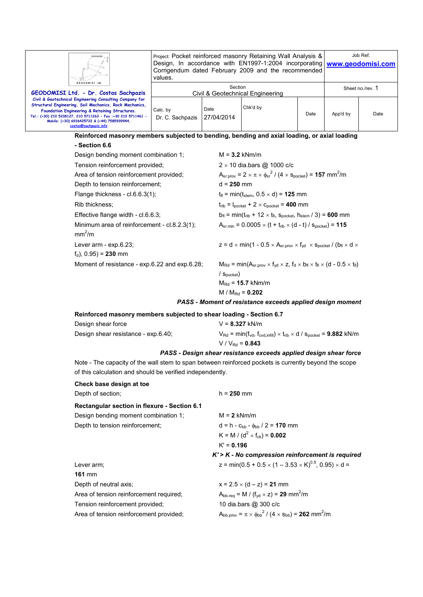| GEODOMISI Ltd.                                                                                                                                                     | Project: Pocket reinforced masonry Retaining Wall Analysis &<br>Design, In accordance with EN1997-1:2004 incorporating<br>Corrigendum dated February 2009 and the recommended<br>values. |                           | Job Ref.<br>www.geodomisi.com                                                                                                                |      |                  |      |  |  |
|--------------------------------------------------------------------------------------------------------------------------------------------------------------------|------------------------------------------------------------------------------------------------------------------------------------------------------------------------------------------|---------------------------|----------------------------------------------------------------------------------------------------------------------------------------------|------|------------------|------|--|--|
|                                                                                                                                                                    |                                                                                                                                                                                          |                           | Section                                                                                                                                      |      | Sheet no./rev. 1 |      |  |  |
| GEODOMISI Ltd. - Dr. Costas Sachpazis<br>Civil & Geotechnical Engineering Consulting Company for                                                                   |                                                                                                                                                                                          |                           | Civil & Geotechnical Engineering                                                                                                             |      |                  |      |  |  |
| Structural Engineering, Soil Mechanics, Rock Mechanics,                                                                                                            |                                                                                                                                                                                          | Chk'd by<br>Date          |                                                                                                                                              |      |                  |      |  |  |
| Foundation Engineering & Retaining Structures.<br>Tel.: (+30) 210 5238127, 210 5711263 - Fax.:+30 210 5711461 -                                                    | Calc. by<br>Dr. C. Sachpazis                                                                                                                                                             | 27/04/2014                |                                                                                                                                              | Date | App'd by         | Date |  |  |
| Mobile: (+30) 6936425722 & (+44) 7585939944,<br>costas@sachpazis.info                                                                                              |                                                                                                                                                                                          |                           |                                                                                                                                              |      |                  |      |  |  |
| Reinforced masonry members subjected to bending, bending and axial loading, or axial loading                                                                       |                                                                                                                                                                                          |                           |                                                                                                                                              |      |                  |      |  |  |
| - Section 6.6                                                                                                                                                      |                                                                                                                                                                                          |                           |                                                                                                                                              |      |                  |      |  |  |
| Design bending moment combination 1;                                                                                                                               |                                                                                                                                                                                          |                           | $M = 3.2$ kNm/m                                                                                                                              |      |                  |      |  |  |
| Tension reinforcement provided;                                                                                                                                    |                                                                                                                                                                                          |                           | $2 \times 10$ dia.bars @ 1000 c/c                                                                                                            |      |                  |      |  |  |
| Area of tension reinforcement provided;                                                                                                                            |                                                                                                                                                                                          |                           | $A_{sr,prov} = 2 \times \pi \times \phi_{sr}^2 / (4 \times s_{pockey}) = 157$ mm <sup>2</sup> /m                                             |      |                  |      |  |  |
| Depth to tension reinforcement;                                                                                                                                    |                                                                                                                                                                                          | $d = 250$ mm              |                                                                                                                                              |      |                  |      |  |  |
| Flange thickness - cl.6.6.3(1);                                                                                                                                    |                                                                                                                                                                                          |                           | $t_{\text{fl}}$ = min( $t_{\text{stem}}$ , 0.5 $\times$ d) = <b>125</b> mm                                                                   |      |                  |      |  |  |
| Rib thickness:                                                                                                                                                     |                                                                                                                                                                                          |                           | $t_{\text{rib}} = I_{\text{pocket}} + 2 \times c_{\text{pocket}} = 400$ mm                                                                   |      |                  |      |  |  |
| Effective flange width - cl.6.6.3;                                                                                                                                 |                                                                                                                                                                                          |                           | $b_{\text{fl}} = \min(t_{\text{rib}} + 12 \times t_{\text{fl}})$ , Spocket, $h_{\text{stem}} / 3$ ) = 600 mm                                 |      |                  |      |  |  |
| Minimum area of reinforcement - cl.8.2.3(1);<br>mm <sup>2</sup> /m                                                                                                 |                                                                                                                                                                                          |                           | $A_{sr,min} = 0.0005 \times (t + t_{rib} \times (d - t) / s_{pocket}) = 115$                                                                 |      |                  |      |  |  |
| Lever arm - exp.6.23;                                                                                                                                              |                                                                                                                                                                                          |                           | $z = d \times min(1 - 0.5 \times A_{sr,prov} \times f_{yd} \times s_{pocket} / (b_{fl} \times d \times$                                      |      |                  |      |  |  |
| $f_d$ ), 0.95) = 230 mm                                                                                                                                            |                                                                                                                                                                                          |                           |                                                                                                                                              |      |                  |      |  |  |
| Moment of resistance - exp.6.22 and exp.6.28;                                                                                                                      |                                                                                                                                                                                          |                           | $M_{\text{Rd}} = min(A_{sr.\text{prov}} \times f_{yd} \times z, f_d \times b_{fl} \times t_{fl} \times (d - 0.5 \times t_{fl})$              |      |                  |      |  |  |
|                                                                                                                                                                    |                                                                                                                                                                                          | $/$ S <sub>pocket</sub> ) |                                                                                                                                              |      |                  |      |  |  |
|                                                                                                                                                                    |                                                                                                                                                                                          |                           | $M_{\text{Rd}} = 15.7 \text{ kNm/m}$                                                                                                         |      |                  |      |  |  |
|                                                                                                                                                                    |                                                                                                                                                                                          |                           | M / $M_{\text{Rd}}$ = 0.202                                                                                                                  |      |                  |      |  |  |
|                                                                                                                                                                    |                                                                                                                                                                                          |                           | PASS - Moment of resistance exceeds applied design moment                                                                                    |      |                  |      |  |  |
| Reinforced masonry members subjected to shear loading - Section 6.7                                                                                                |                                                                                                                                                                                          |                           |                                                                                                                                              |      |                  |      |  |  |
| Design shear force                                                                                                                                                 |                                                                                                                                                                                          |                           | $V = 8.327$ kN/m                                                                                                                             |      |                  |      |  |  |
| Design shear resistance - exp.6.40;                                                                                                                                |                                                                                                                                                                                          |                           | $V_{\text{Rd}} = \min(f_{\text{vd}}, f_{\text{cvd}, \text{infill}}) \times t_{\text{rib}} \times d / s_{\text{pocket}} = 9.882 \text{ kN/m}$ |      |                  |      |  |  |
|                                                                                                                                                                    |                                                                                                                                                                                          |                           | $V / V_{Rd} = 0.843$                                                                                                                         |      |                  |      |  |  |
|                                                                                                                                                                    |                                                                                                                                                                                          |                           | PASS - Design shear resistance exceeds applied design shear force                                                                            |      |                  |      |  |  |
| Note - The capacity of the wall stem to span between reinforced pockets is currently beyond the scope<br>of this calculation and should be verified independently. |                                                                                                                                                                                          |                           |                                                                                                                                              |      |                  |      |  |  |
| Check base design at toe                                                                                                                                           |                                                                                                                                                                                          |                           |                                                                                                                                              |      |                  |      |  |  |
| Depth of section;                                                                                                                                                  |                                                                                                                                                                                          | $h = 250$ mm              |                                                                                                                                              |      |                  |      |  |  |
| Rectangular section in flexure - Section 6.1                                                                                                                       |                                                                                                                                                                                          |                           |                                                                                                                                              |      |                  |      |  |  |
| Design bending moment combination 1;                                                                                                                               |                                                                                                                                                                                          | $M = 2$ kNm/m             |                                                                                                                                              |      |                  |      |  |  |

Tension reinforcement provided;

**161** mm

Depth to tension reinforcement;  $d = h - c_{bb} - \phi_{bb} / 2 = 170$  mm  $K = M / (d^2 \times f_{ck}) = 0.002$ K' = **0.196**

# *K' > K - No compression reinforcement is required*  Lever arm;  $z = min(0.5 + 0.5 \times (1 - 3.53 \times K)^{0.5}, 0.95) \times d =$

Depth of neutral axis;  $x = 2.5 \times (d - z) = 21$  mm Area of tension reinforcement required;  $A_{bb,req} = M / (f_{yd} \times z) = 2$ <br>Tension reinforcement provided; 10 dia.bars @ 300 c/c  $A_{\text{bb}.\text{req}} = M / (f_{\text{yd}} \times z) = 29 \text{ mm}^2/\text{m}$ Area of tension reinforcement provided;  $^{2}$  / (4  $\times$  s<sub>bb</sub>) = **262** mm<sup>2</sup>/m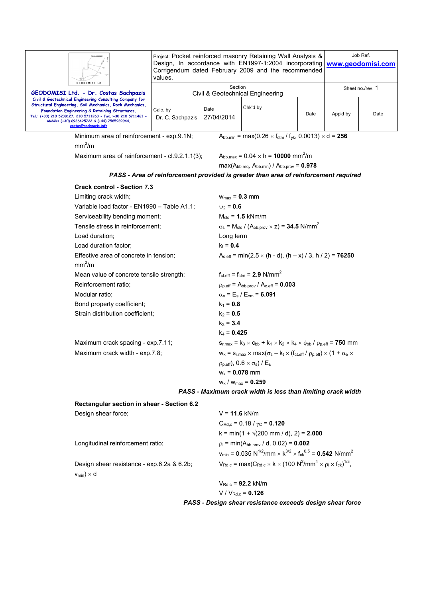| <b>GEODOMISI Ltd</b>                                                                                                                                                                                                                                                                                           | Project: Pocket reinforced masonry Retaining Wall Analysis &<br>Design, In accordance with EN1997-1:2004 incorporating<br>Corrigendum dated February 2009 and the recommended<br>values. |                                                                                                                                  |                                                                                                                                                                                         | Job Ref.<br>www.geodomisi.com |          |      |  |  |
|----------------------------------------------------------------------------------------------------------------------------------------------------------------------------------------------------------------------------------------------------------------------------------------------------------------|------------------------------------------------------------------------------------------------------------------------------------------------------------------------------------------|----------------------------------------------------------------------------------------------------------------------------------|-----------------------------------------------------------------------------------------------------------------------------------------------------------------------------------------|-------------------------------|----------|------|--|--|
| GEODOMISI Ltd. - Dr. Costas Sachpazis                                                                                                                                                                                                                                                                          | Section<br>Civil & Geotechnical Engineering                                                                                                                                              |                                                                                                                                  |                                                                                                                                                                                         | Sheet no./rev. 1              |          |      |  |  |
| Civil & Geotechnical Engineering Consulting Company for<br>Structural Engineering, Soil Mechanics, Rock Mechanics,<br>Foundation Engineering & Retaining Structures.<br>Tel.: (+30) 210 5238127, 210 5711263 - Fax.:+30 210 5711461 -<br>Mobile: (+30) 6936425722 & (+44) 7585939944,<br>costas@sachpazis.info | Calc. by<br>Dr. C. Sachpazis                                                                                                                                                             | Date<br>27/04/2014                                                                                                               | Chk'd by                                                                                                                                                                                | Date                          | App'd by | Date |  |  |
| Minimum area of reinforcement - exp.9.1N;<br>mm <sup>2</sup> /m                                                                                                                                                                                                                                                |                                                                                                                                                                                          |                                                                                                                                  | $A_{bb,min}$ = max(0.26 $\times$ f <sub>ctm</sub> / f <sub>yk</sub> , 0.0013) $\times$ d = <b>256</b>                                                                                   |                               |          |      |  |  |
| Maximum area of reinforcement - cl.9.2.1.1(3);                                                                                                                                                                                                                                                                 |                                                                                                                                                                                          |                                                                                                                                  | $A_{bb,max} = 0.04 \times h = 10000$ mm <sup>2</sup> /m<br>$max(A_{bb \text{.reg}}, A_{bb \text{.min}}) / A_{bb \text{.prov}} = 0.978$                                                  |                               |          |      |  |  |
|                                                                                                                                                                                                                                                                                                                |                                                                                                                                                                                          |                                                                                                                                  | PASS - Area of reinforcement provided is greater than area of reinforcement required                                                                                                    |                               |          |      |  |  |
| <b>Crack control - Section 7.3</b>                                                                                                                                                                                                                                                                             |                                                                                                                                                                                          |                                                                                                                                  |                                                                                                                                                                                         |                               |          |      |  |  |
| Limiting crack width;                                                                                                                                                                                                                                                                                          |                                                                                                                                                                                          |                                                                                                                                  | $W_{\text{max}} = 0.3$ mm                                                                                                                                                               |                               |          |      |  |  |
| Variable load factor - EN1990 - Table A1.1;                                                                                                                                                                                                                                                                    |                                                                                                                                                                                          |                                                                                                                                  | $v_2 = 0.6$                                                                                                                                                                             |                               |          |      |  |  |
| Serviceability bending moment;                                                                                                                                                                                                                                                                                 |                                                                                                                                                                                          |                                                                                                                                  | $M_{\rm{sls}}$ = 1.5 kNm/m                                                                                                                                                              |                               |          |      |  |  |
| Tensile stress in reinforcement:                                                                                                                                                                                                                                                                               |                                                                                                                                                                                          |                                                                                                                                  | $\sigma_s$ = M <sub>sls</sub> / (A <sub>bb.prov</sub> $\times$ z) = <b>34.5</b> N/mm <sup>2</sup>                                                                                       |                               |          |      |  |  |
| Load duration:                                                                                                                                                                                                                                                                                                 |                                                                                                                                                                                          |                                                                                                                                  | Long term                                                                                                                                                                               |                               |          |      |  |  |
| Load duration factor;                                                                                                                                                                                                                                                                                          |                                                                                                                                                                                          | $k_t = 0.4$                                                                                                                      |                                                                                                                                                                                         |                               |          |      |  |  |
| Effective area of concrete in tension;<br>mm <sup>2</sup> /m                                                                                                                                                                                                                                                   |                                                                                                                                                                                          |                                                                                                                                  | $A_{c,eff}$ = min(2.5 $\times$ (h - d), (h – x) / 3, h / 2) = <b>76250</b>                                                                                                              |                               |          |      |  |  |
| Mean value of concrete tensile strength;                                                                                                                                                                                                                                                                       |                                                                                                                                                                                          |                                                                                                                                  | $f_{\text{ct.eff}} = f_{\text{ctm}} = 2.9 \text{ N/mm}^2$                                                                                                                               |                               |          |      |  |  |
| Reinforcement ratio:                                                                                                                                                                                                                                                                                           |                                                                                                                                                                                          |                                                                                                                                  | $p_{p.eff} = A_{bb.prov} / A_{c.eff} = 0.003$                                                                                                                                           |                               |          |      |  |  |
| Modular ratio;                                                                                                                                                                                                                                                                                                 |                                                                                                                                                                                          |                                                                                                                                  | $\alpha_{\rm e}$ = E <sub>s</sub> / E <sub>cm</sub> = 6.091                                                                                                                             |                               |          |      |  |  |
| Bond property coefficient;                                                                                                                                                                                                                                                                                     |                                                                                                                                                                                          |                                                                                                                                  | $k_1 = 0.8$                                                                                                                                                                             |                               |          |      |  |  |
| Strain distribution coefficient;                                                                                                                                                                                                                                                                               |                                                                                                                                                                                          |                                                                                                                                  | $k_2 = 0.5$                                                                                                                                                                             |                               |          |      |  |  |
|                                                                                                                                                                                                                                                                                                                |                                                                                                                                                                                          |                                                                                                                                  | $k_3 = 3.4$                                                                                                                                                                             |                               |          |      |  |  |
|                                                                                                                                                                                                                                                                                                                |                                                                                                                                                                                          | $k_4 = 0.425$                                                                                                                    |                                                                                                                                                                                         |                               |          |      |  |  |
| Maximum crack spacing - exp.7.11;                                                                                                                                                                                                                                                                              |                                                                                                                                                                                          |                                                                                                                                  | $S_{r,max} = k_3 \times c_{bb} + k_1 \times k_2 \times k_4 \times \phi_{bb} / \rho_{p,eff} = 750$ mm                                                                                    |                               |          |      |  |  |
| Maximum crack width - exp.7.8;                                                                                                                                                                                                                                                                                 |                                                                                                                                                                                          |                                                                                                                                  | $W_k = S_{r,\text{max}} \times \text{max}(\sigma_s - k_t \times (f_{\text{ct.eff}}/ \rho_{p,\text{eff}}) \times (1 + \alpha_e \times$                                                   |                               |          |      |  |  |
|                                                                                                                                                                                                                                                                                                                |                                                                                                                                                                                          |                                                                                                                                  | $(\rho_{p.eff})$ , 0.6 $\times \sigma_s$ ) / E <sub>s</sub>                                                                                                                             |                               |          |      |  |  |
|                                                                                                                                                                                                                                                                                                                |                                                                                                                                                                                          |                                                                                                                                  | $W_k = 0.078$ mm                                                                                                                                                                        |                               |          |      |  |  |
|                                                                                                                                                                                                                                                                                                                |                                                                                                                                                                                          |                                                                                                                                  | $w_k / w_{max} = 0.259$                                                                                                                                                                 |                               |          |      |  |  |
|                                                                                                                                                                                                                                                                                                                |                                                                                                                                                                                          |                                                                                                                                  | PASS - Maximum crack width is less than limiting crack width                                                                                                                            |                               |          |      |  |  |
| Rectangular section in shear - Section 6.2                                                                                                                                                                                                                                                                     |                                                                                                                                                                                          |                                                                                                                                  |                                                                                                                                                                                         |                               |          |      |  |  |
| Design shear force;                                                                                                                                                                                                                                                                                            |                                                                                                                                                                                          |                                                                                                                                  | $V = 11.6$ kN/m                                                                                                                                                                         |                               |          |      |  |  |
|                                                                                                                                                                                                                                                                                                                |                                                                                                                                                                                          | $C_{\text{Rd},c}$ = 0.18 / $\gamma_{\text{C}}$ = 0.120                                                                           |                                                                                                                                                                                         |                               |          |      |  |  |
|                                                                                                                                                                                                                                                                                                                |                                                                                                                                                                                          |                                                                                                                                  | $k = min(1 + \sqrt{200} \text{ mm / d})$ , 2) = 2.000                                                                                                                                   |                               |          |      |  |  |
| Longitudinal reinforcement ratio;                                                                                                                                                                                                                                                                              |                                                                                                                                                                                          |                                                                                                                                  | $p_1 = min(A_{bb.prov} / d, 0.02) = 0.002$<br>$v_{min}$ = 0.035 N <sup>1/2</sup> /mm $\times$ k <sup>3/2</sup> $\times$ f <sub>ck</sub> <sup>0.5</sup> = <b>0.542</b> N/mm <sup>2</sup> |                               |          |      |  |  |
| Design shear resistance - exp.6.2a & 6.2b;<br>$V_{min}$ ) × d                                                                                                                                                                                                                                                  |                                                                                                                                                                                          | $V_{\text{Rd.c}} = \max(C_{\text{Rd.c}} \times k \times (100 \text{ N}^2/\text{mm}^4 \times \rho_1 \times f_{\text{ck}})^{1/3},$ |                                                                                                                                                                                         |                               |          |      |  |  |
|                                                                                                                                                                                                                                                                                                                |                                                                                                                                                                                          | $V_{Rd,c} = 92.2$ kN/m                                                                                                           |                                                                                                                                                                                         |                               |          |      |  |  |
|                                                                                                                                                                                                                                                                                                                |                                                                                                                                                                                          | $V / V_{Rd.c} = 0.126$                                                                                                           |                                                                                                                                                                                         |                               |          |      |  |  |
| PASS - Design shear resistance exceeds design shear force                                                                                                                                                                                                                                                      |                                                                                                                                                                                          |                                                                                                                                  |                                                                                                                                                                                         |                               |          |      |  |  |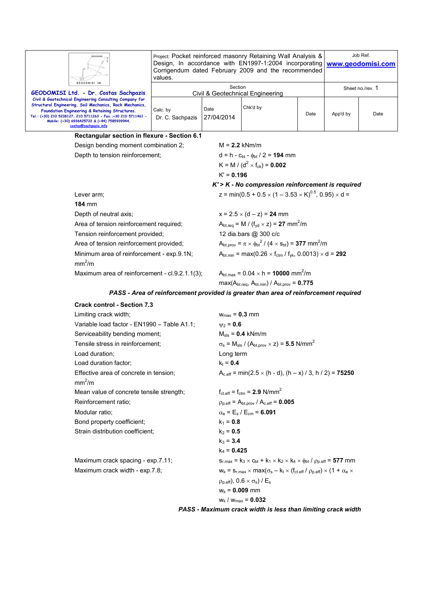|                                                                                                                                                                                                                                                                                                                | Project: Pocket reinforced masonry Retaining Wall Analysis &<br>Design, In accordance with EN1997-1:2004 incorporating   www.geodomisi.com<br>Corrigendum dated February 2009 and the recommended<br>values. |                                                       |                                                                                                                     | Job Ref. |                  |      |  |
|----------------------------------------------------------------------------------------------------------------------------------------------------------------------------------------------------------------------------------------------------------------------------------------------------------------|--------------------------------------------------------------------------------------------------------------------------------------------------------------------------------------------------------------|-------------------------------------------------------|---------------------------------------------------------------------------------------------------------------------|----------|------------------|------|--|
| GEODOMISI Ltd.<br>GEODOMISI Ltd. - Dr. Costas Sachpazis                                                                                                                                                                                                                                                        | Section<br>Civil & Geotechnical Engineering                                                                                                                                                                  |                                                       |                                                                                                                     |          | Sheet no./rev. 1 |      |  |
| Civil & Geotechnical Engineering Consulting Company for<br>Structural Engineering, Soil Mechanics, Rock Mechanics,<br>Foundation Engineering & Retaining Structures.<br>Tel.: (+30) 210 5238127, 210 5711263 - Fax.:+30 210 5711461 -<br>Mobile: (+30) 6936425722 & (+44) 7585939944,<br>costas@sachpazis.info | Calc. by<br>Dr. C. Sachpazis                                                                                                                                                                                 | Date<br>27/04/2014                                    | Chk'd by                                                                                                            | Date     | App'd by         | Date |  |
| Rectangular section in flexure - Section 6.1                                                                                                                                                                                                                                                                   |                                                                                                                                                                                                              |                                                       |                                                                                                                     |          |                  |      |  |
| Design bending moment combination 2;                                                                                                                                                                                                                                                                           |                                                                                                                                                                                                              |                                                       | $M = 2.2$ kNm/m                                                                                                     |          |                  |      |  |
| Depth to tension reinforcement;                                                                                                                                                                                                                                                                                |                                                                                                                                                                                                              |                                                       | $d = h - c_{\text{bt}} - \phi_{\text{bt}} / 2 = 194$ mm                                                             |          |                  |      |  |
|                                                                                                                                                                                                                                                                                                                | K = M / ( $d^2$ × f <sub>ck</sub> ) = <b>0.002</b>                                                                                                                                                           |                                                       |                                                                                                                     |          |                  |      |  |
|                                                                                                                                                                                                                                                                                                                | $K' = 0.196$                                                                                                                                                                                                 |                                                       |                                                                                                                     |          |                  |      |  |
|                                                                                                                                                                                                                                                                                                                |                                                                                                                                                                                                              | $K'$ > $K$ - No compression reinforcement is required |                                                                                                                     |          |                  |      |  |
| Lever arm;                                                                                                                                                                                                                                                                                                     |                                                                                                                                                                                                              |                                                       | z = min(0.5 + 0.5 $\times$ (1 – 3.53 $\times$ K) <sup>0.5</sup> , 0.95) $\times$ d =                                |          |                  |      |  |
| <b>184 mm</b>                                                                                                                                                                                                                                                                                                  |                                                                                                                                                                                                              |                                                       |                                                                                                                     |          |                  |      |  |
| Depth of neutral axis;                                                                                                                                                                                                                                                                                         |                                                                                                                                                                                                              |                                                       | $x = 2.5 \times (d - z) = 24$ mm                                                                                    |          |                  |      |  |
| Area of tension reinforcement required;                                                                                                                                                                                                                                                                        |                                                                                                                                                                                                              |                                                       | $A_{\text{btreq}} = M / (f_{\text{yd}} \times z) = 27 \text{ mm}^2/\text{m}$                                        |          |                  |      |  |
| Tension reinforcement provided;                                                                                                                                                                                                                                                                                |                                                                                                                                                                                                              |                                                       | 12 dia.bars @ 300 c/c                                                                                               |          |                  |      |  |
| Area of tension reinforcement provided;                                                                                                                                                                                                                                                                        |                                                                                                                                                                                                              |                                                       | $A_{\text{bt.prov}} = \pi \times \phi_{\text{bt}}^2 / (4 \times s_{\text{bt}}) = 377 \text{ mm}^2/\text{m}$         |          |                  |      |  |
| Minimum area of reinforcement - exp.9.1N;<br>mm <sup>2</sup> /m                                                                                                                                                                                                                                                |                                                                                                                                                                                                              |                                                       | $A_{\text{bt,min}} = \max(0.26 \times f_{\text{ctm}} / f_{\text{vk}} , 0.0013) \times d = 292$                      |          |                  |      |  |
| Maximum area of reinforcement - cl.9.2.1.1(3);                                                                                                                                                                                                                                                                 |                                                                                                                                                                                                              |                                                       | $A_{\text{bt max}} = 0.04 \times h = 10000 \text{ mm}^2/m$<br>$max(A_{bt,req}, A_{bt,min})$ / $A_{bt,prov} = 0.775$ |          |                  |      |  |

# *PASS - Area of reinforcement provided is greater than area of reinforcement required*

| <b>Crack control - Section 7.3</b>                           |                                                                                                                        |
|--------------------------------------------------------------|------------------------------------------------------------------------------------------------------------------------|
| Limiting crack width;                                        | $W_{\text{max}} = 0.3$ mm                                                                                              |
| Variable load factor - EN1990 - Table A1.1;                  | $v_2 = 0.6$                                                                                                            |
| Serviceability bending moment;                               | $M_{\rm sls}$ = 0.4 kNm/m                                                                                              |
| Tensile stress in reinforcement:                             | $\sigma_s$ = M <sub>sls</sub> / (A <sub>bt.prov</sub> × z) = 5.5 N/mm <sup>2</sup>                                     |
| Load duration;                                               | Long term                                                                                                              |
| Load duration factor;                                        | $k_t = 0.4$                                                                                                            |
| Effective area of concrete in tension:<br>mm <sup>2</sup> /m | $A_{c.eff}$ = min(2.5 $\times$ (h - d), (h – x) / 3, h / 2) = <b>75250</b>                                             |
| Mean value of concrete tensile strength;                     | $f_{\text{ct.eff}} = f_{\text{ctm}} = 2.9 \text{ N/mm}^2$                                                              |
| Reinforcement ratio;                                         | $\rho_{\text{p,eff}}$ = A <sub>bt.prov</sub> / A <sub>c.eff</sub> = <b>0.005</b>                                       |
| Modular ratio:                                               | $\alpha_e = E_s / E_{cm} = 6.091$                                                                                      |
| Bond property coefficient;                                   | $k_1 = 0.8$                                                                                                            |
| Strain distribution coefficient:                             | $k_2 = 0.5$                                                                                                            |
|                                                              | $k_3 = 3.4$                                                                                                            |
|                                                              | $k_4 = 0.425$                                                                                                          |
| Maximum crack spacing - exp.7.11;                            | $s_{r,max} = k_3 \times c_{bt} + k_1 \times k_2 \times k_4 \times \phi_{bt} / \rho_{p,eff} = 577$ mm                   |
| Maximum crack width - exp.7.8;                               | $w_k = s_{r,max} \times max(\sigma_s - k_t \times (f_{ct\text{eff}} / \rho_{p\text{eff}}) \times (1 + \alpha_e \times$ |
|                                                              | $(\rho_{p,eff})$ , 0.6 $\times$ $\sigma_s$ ) / E <sub>s</sub>                                                          |
|                                                              | $w_k = 0.009$ mm                                                                                                       |
|                                                              | $W_k / W_{max} = 0.032$                                                                                                |

# *PASS - Maximum crack width is less than limiting crack width*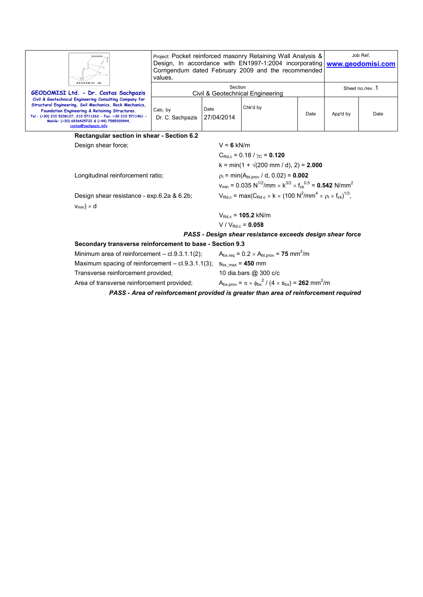| GEODOMISI Ltd.                                                                                                                                                                                                                                                                                                                                 | Project: Pocket reinforced masonry Retaining Wall Analysis &<br>Design, In accordance with EN1997-1:2004 incorporating www.geodomisi.com<br>Corrigendum dated February 2009 and the recommended<br>values. |          |      |                  | Job Ref. |  |
|------------------------------------------------------------------------------------------------------------------------------------------------------------------------------------------------------------------------------------------------------------------------------------------------------------------------------------------------|------------------------------------------------------------------------------------------------------------------------------------------------------------------------------------------------------------|----------|------|------------------|----------|--|
| GEODOMISI Ltd. - Dr. Costas Sachpazis                                                                                                                                                                                                                                                                                                          | Section<br>Civil & Geotechnical Engineering                                                                                                                                                                |          |      | Sheet no./rev. 1 |          |  |
| Civil & Geotechnical Engineering Consulting Company for<br>Structural Engineering, Soil Mechanics, Rock Mechanics,<br>Calc. by<br>Foundation Engineering & Retaining Structures.<br>Tel.: (+30) 210 5238127, 210 5711263 - Fax.:+30 210 5711461 -<br>Dr. C. Sachpazis<br>Mobile: (+30) 6936425722 & (+44) 7585939944.<br>costas@sachpazis.info | Date<br>27/04/2014                                                                                                                                                                                         | Chk'd by | Date | App'd by         | Date     |  |

**Rectangular section in shear - Section 6.2** 

Design shear force; V = **6** kN/m

Longitudinal reinforcement ratio;  $\rho_1 = \min(A_{bt,prov} / d, 0.02) = 0.002$ 

Design shear resistance - exp.6.2a & 6.2b;  $v_{min}$ )  $\times$  d

 $C_{\text{Rd},c}$  = 0.18 /  $\gamma_{\text{C}}$  = **0.120**  $k = min(1 + \sqrt{200 \text{ mm}/ d})$ , 2) = **2.000**  $v_{\text{min}} = 0.035 \text{ N}^{1/2}/\text{mm} \times \text{k}^{3/2} \times \text{f}_{\text{ck}}^{0.5} = 0.542 \text{ N/mm}^2$ /mm<sup>4</sup>  $\times$   $\rho$ <sub>l</sub>  $\times$  f<sub>ck</sub>)<sup>1/3</sup>,

VRd.c = **105.2** kN/m  $V / V_{Rd.c} = 0.058$ 

### *PASS - Design shear resistance exceeds design shear force*

### **Secondary transverse reinforcement to base - Section 9.3**

| PASS - Area of reinforcement provided is greater than area of reinforcement required |                                                                                     |  |
|--------------------------------------------------------------------------------------|-------------------------------------------------------------------------------------|--|
| Area of transverse reinforcement provided;                                           | $A_{bx,prov} = \pi \times \phi_{bx}^2 / (4 \times s_{bx}) = 262$ mm <sup>2</sup> /m |  |
| Transverse reinforcement provided;                                                   | 10 dia.bars @ 300 c/c                                                               |  |
| Maximum spacing of reinforcement $-$ cl.9.3.1.1(3);                                  | $S_{\text{bx max}} = 450$ mm                                                        |  |
| Minimum area of reinforcement $-$ cl.9.3.1.1(2);                                     | $A_{\text{bx,rea}} = 0.2 \times A_{\text{bt,prov}} = 75$ mm <sup>2</sup> /m         |  |